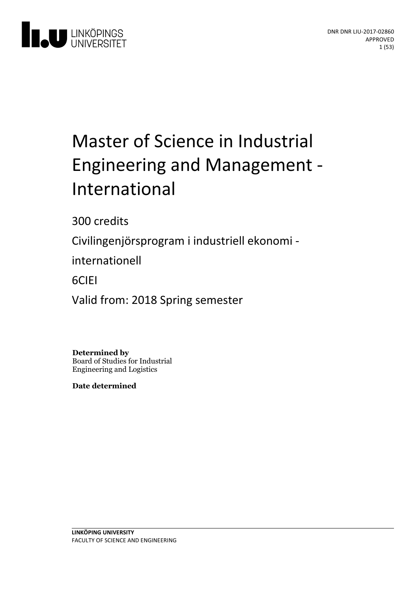

# Master of Science in Industrial Engineering and Management -International

300 credits

Civilingenjörsprogram i industriell ekonomi -

internationell

6CIEI

Valid from: 2018 Spring semester

**Determined by** Board of Studies for Industrial Engineering and Logistics

**Date determined**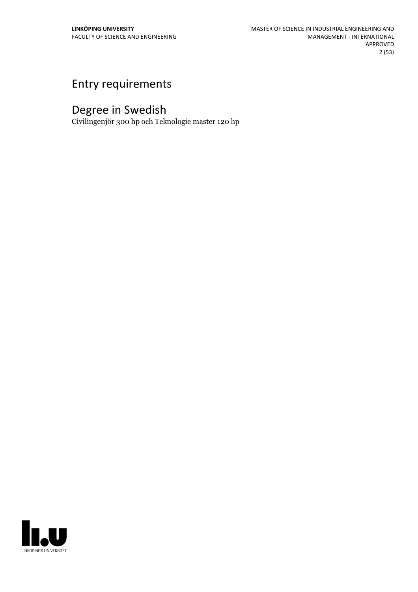## Entry requirements

## Degree in Swedish

Civilingenjör 300 hp och Teknologie master 120 hp

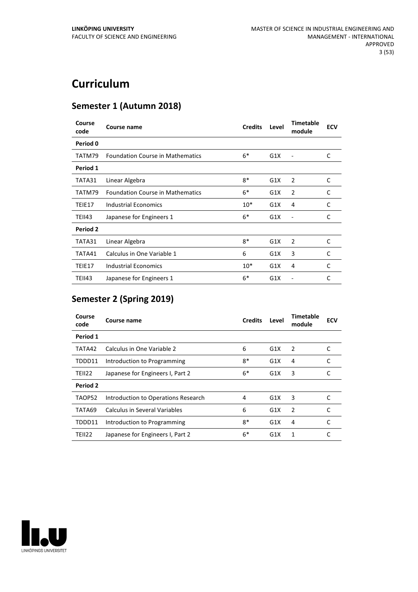## **Curriculum**

## **Semester 1 (Autumn 2018)**

| Course<br>code | Course name                             | <b>Credits</b> | Level | <b>Timetable</b><br>module | <b>ECV</b> |
|----------------|-----------------------------------------|----------------|-------|----------------------------|------------|
| Period 0       |                                         |                |       |                            |            |
| TATM79         | <b>Foundation Course in Mathematics</b> | $6*$           | G1X   |                            | C          |
| Period 1       |                                         |                |       |                            |            |
| TATA31         | Linear Algebra                          | $8*$           | G1X   | 2                          | C          |
| TATM79         | <b>Foundation Course in Mathematics</b> | $6*$           | G1X   | $\overline{2}$             | C          |
| TEIE17         | Industrial Economics                    | $10*$          | G1X   | 4                          | C          |
| TEII43         | Japanese for Engineers 1                | $6*$           | G1X   | ۰                          | C          |
| Period 2       |                                         |                |       |                            |            |
| TATA31         | Linear Algebra                          | $8*$           | G1X   | $\overline{2}$             | C          |
| TATA41         | Calculus in One Variable 1              | 6              | G1X   | 3                          | C          |
| TEIE17         | Industrial Economics                    | $10*$          | G1X   | 4                          | C          |
| <b>TEII43</b>  | Japanese for Engineers 1                | $6*$           | G1X   |                            | C          |

## **Semester 2 (Spring 2019)**

| Course<br>code | Course name                         | <b>Credits</b> | Level | <b>Timetable</b><br>module | <b>ECV</b> |
|----------------|-------------------------------------|----------------|-------|----------------------------|------------|
| Period 1       |                                     |                |       |                            |            |
| TATA42         | Calculus in One Variable 2          | 6              | G1X   | 2                          | C          |
| TDDD11         | Introduction to Programming         | $8*$           | G1X   | 4                          | C          |
| TEII22         | Japanese for Engineers I, Part 2    | $6*$           | G1X   | 3                          | C          |
| Period 2       |                                     |                |       |                            |            |
| TAOP52         | Introduction to Operations Research | 4              | G1X   | 3                          | C          |
| TATA69         | Calculus in Several Variables       | 6              | G1X   | 2                          | C          |
| TDDD11         | Introduction to Programming         | $8*$           | G1X   | 4                          | C          |
| <b>TEII22</b>  | Japanese for Engineers I, Part 2    | $6*$           | G1X   | 1                          | C          |

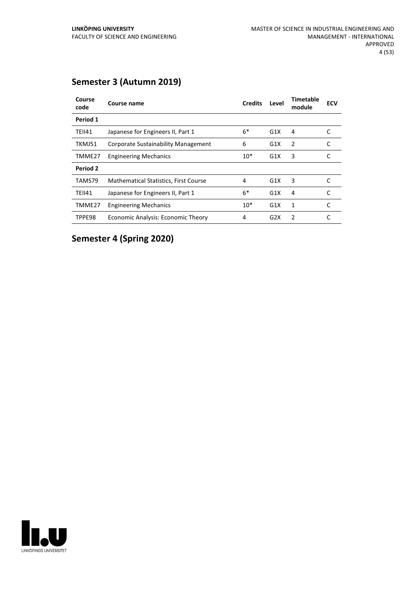| Course<br>code | Course name                           | <b>Credits</b> | Level | <b>Timetable</b><br>module | <b>ECV</b> |
|----------------|---------------------------------------|----------------|-------|----------------------------|------------|
| Period 1       |                                       |                |       |                            |            |
| <b>TEII41</b>  | Japanese for Engineers II, Part 1     | $6*$           | G1X   | 4                          | C          |
| TKMJ51         | Corporate Sustainability Management   | 6              | G1X   | 2                          | C          |
| TMME27         | <b>Engineering Mechanics</b>          | $10*$          | G1X   | 3                          | C          |
| Period 2       |                                       |                |       |                            |            |
| TAMS79         | Mathematical Statistics, First Course | 4              | G1X   | 3                          |            |
| <b>TEII41</b>  | Japanese for Engineers II, Part 1     | $6*$           | G1X   | 4                          |            |
| TMME27         | <b>Engineering Mechanics</b>          | $10*$          | G1X   | 1                          | C          |
| TPPE98         | Economic Analysis: Economic Theory    | 4              | G2X   | 2                          |            |

## **Semester 3 (Autumn 2019)**

**Semester 4 (Spring 2020)**

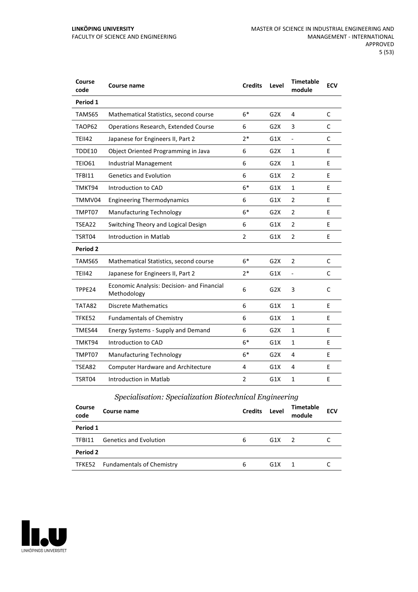| Course<br>code | Course name                                               | <b>Credits</b> | Level            | <b>Timetable</b><br>module | <b>ECV</b>   |
|----------------|-----------------------------------------------------------|----------------|------------------|----------------------------|--------------|
| Period 1       |                                                           |                |                  |                            |              |
| TAMS65         | Mathematical Statistics, second course                    | $6*$           | G2X              | 4                          | C            |
| TAOP62         | Operations Research, Extended Course                      | 6              | G <sub>2</sub> X | 3                          | C            |
| <b>TEII42</b>  | Japanese for Engineers II, Part 2                         | $2*$           | G1X              | ÷,                         | C            |
| <b>TDDE10</b>  | Object Oriented Programming in Java                       | 6              | G <sub>2</sub> X | $\mathbf{1}$               | E            |
| <b>TEIO61</b>  | <b>Industrial Management</b>                              | 6              | G2X              | $\mathbf{1}$               | E            |
| TFBI11         | <b>Genetics and Evolution</b>                             | 6              | G1X              | $\overline{2}$             | E            |
| TMKT94         | Introduction to CAD                                       | $6*$           | G1X              | $\mathbf{1}$               | E            |
| TMMV04         | <b>Engineering Thermodynamics</b>                         | 6              | G1X              | $\overline{2}$             | E            |
| TMPT07         | <b>Manufacturing Technology</b>                           | $6*$           | G2X              | $\overline{2}$             | E            |
| TSEA22         | Switching Theory and Logical Design                       | 6              | G1X              | $\overline{2}$             | E            |
| TSRT04         | Introduction in Matlab                                    | $\overline{2}$ | G1X              | $\overline{2}$             | E            |
| Period 2       |                                                           |                |                  |                            |              |
| TAMS65         | Mathematical Statistics, second course                    | $6*$           | G2X              | $\overline{2}$             | $\mathsf{C}$ |
| <b>TEII42</b>  | Japanese for Engineers II, Part 2                         | 2*             | G1X              | $\overline{a}$             | С            |
| TPPE24         | Economic Analysis: Decision- and Financial<br>Methodology | 6              | G2X              | 3                          | C            |
| TATA82         | <b>Discrete Mathematics</b>                               | 6              | G1X              | $\mathbf{1}$               | E            |
| TFKE52         | <b>Fundamentals of Chemistry</b>                          | 6              | G1X              | $\mathbf{1}$               | E            |
| TMES44         | Energy Systems - Supply and Demand                        | 6              | G2X              | $\mathbf{1}$               | E            |
| TMKT94         | Introduction to CAD                                       | $6*$           | G1X              | $\mathbf{1}$               | E            |
| TMPT07         | <b>Manufacturing Technology</b>                           | $6*$           | G2X              | 4                          | E            |
| TSEA82         | <b>Computer Hardware and Architecture</b>                 | 4              | G1X              | 4                          | E            |
| TSRT04         | Introduction in Matlab                                    | $\overline{2}$ | G1X              | $\mathbf{1}$               | E            |

## *Specialisation: Specialization Biotechnical Engineering*

| Course<br>code | Course name                      | <b>Credits</b> | Level | Timetable<br>module | <b>ECV</b> |
|----------------|----------------------------------|----------------|-------|---------------------|------------|
| Period 1       |                                  |                |       |                     |            |
| TFBI11         | <b>Genetics and Evolution</b>    | 6              | G1X   | $\overline{2}$      |            |
| Period 2       |                                  |                |       |                     |            |
|                | TFKE52 Fundamentals of Chemistry | 6              | G1X   |                     |            |

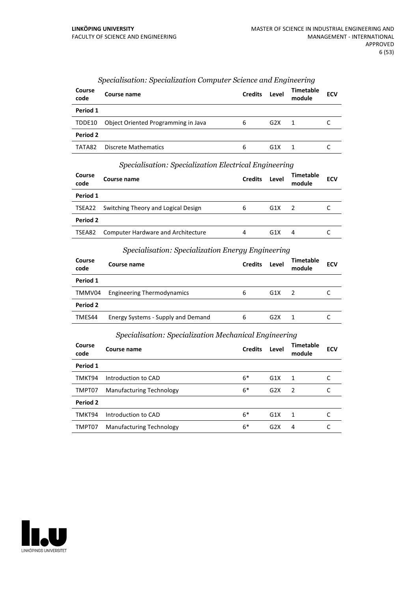| Course<br>code | Course name                         | <b>Credits</b> | Level | Timetable<br>module | <b>ECV</b> |
|----------------|-------------------------------------|----------------|-------|---------------------|------------|
| Period 1       |                                     |                |       |                     |            |
| TDDE10         | Object Oriented Programming in Java | 6              | G2X   | 1                   |            |
| Period 2       |                                     |                |       |                     |            |
| TATA82         | <b>Discrete Mathematics</b>         | 6              | G1X   |                     |            |

## *Specialisation: Specialization Computer Science and Engineering*

#### *Specialisation: Specialization Electrical Engineering*

| Course<br>code | Course name                                | <b>Credits</b> | Level | Timetable<br>module | <b>ECV</b> |
|----------------|--------------------------------------------|----------------|-------|---------------------|------------|
| Period 1       |                                            |                |       |                     |            |
|                | TSEA22 Switching Theory and Logical Design | 6              | G1X   |                     |            |
| Period 2       |                                            |                |       |                     |            |
| TSEA82         | <b>Computer Hardware and Architecture</b>  | 4              | G1X   | 4                   |            |

## *Specialisation: Specialization Energy Engineering*

| Course<br>code | Course name                        | <b>Credits</b> | Level | Timetable<br>module | <b>ECV</b> |
|----------------|------------------------------------|----------------|-------|---------------------|------------|
| Period 1       |                                    |                |       |                     |            |
| TMMV04         | <b>Engineering Thermodynamics</b>  | 6              | G1X   | - 2                 |            |
| Period 2       |                                    |                |       |                     |            |
| TMES44         | Energy Systems - Supply and Demand | 6              | G2X   | 1                   |            |

#### *Specialisation: Specialization Mechanical Engineering*

| Course<br>code | Course name                     | <b>Credits</b> | Level | <b>Timetable</b><br>module | <b>ECV</b> |
|----------------|---------------------------------|----------------|-------|----------------------------|------------|
| Period 1       |                                 |                |       |                            |            |
| TMKT94         | Introduction to CAD             | $6*$           | G1X   | 1                          |            |
| TMPT07         | Manufacturing Technology        | $6*$           | G2X   | $\overline{2}$             |            |
| Period 2       |                                 |                |       |                            |            |
| TMKT94         | Introduction to CAD             | $6*$           | G1X   | $\overline{1}$             | C          |
| TMPT07         | <b>Manufacturing Technology</b> | $6*$           | G2X   | 4                          |            |

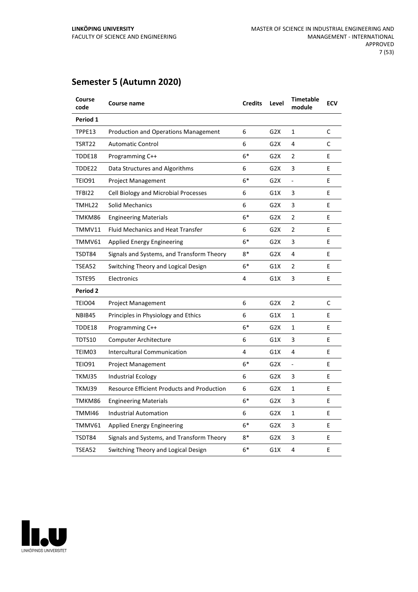## **Semester 5 (Autumn 2020)**

| Course<br>code | Course name                                       | <b>Credits</b> | Level            | Timetable<br>module      | <b>ECV</b> |
|----------------|---------------------------------------------------|----------------|------------------|--------------------------|------------|
| Period 1       |                                                   |                |                  |                          |            |
| TPPE13         | <b>Production and Operations Management</b>       | 6              | G2X              | $\mathbf{1}$             | C          |
| TSRT22         | <b>Automatic Control</b>                          | 6              | G <sub>2</sub> X | 4                        | C          |
| TDDE18         | Programming C++                                   | $6*$           | G <sub>2</sub> X | 2                        | E          |
| TDDE22         | Data Structures and Algorithms                    | 6              | G <sub>2</sub> X | 3                        | E          |
| TEIO91         | Project Management                                | $6*$           | G2X              | $\overline{\phantom{0}}$ | Е          |
| TFBI22         | Cell Biology and Microbial Processes              | 6              | G1X              | 3                        | E          |
| TMHL22         | <b>Solid Mechanics</b>                            | 6              | G2X              | 3                        | E          |
| TMKM86         | <b>Engineering Materials</b>                      | $6*$           | G2X              | 2                        | E          |
| TMMV11         | <b>Fluid Mechanics and Heat Transfer</b>          | 6              | G <sub>2</sub> X | 2                        | E          |
| TMMV61         | Applied Energy Engineering                        | $6*$           | G2X              | 3                        | E          |
| TSDT84         | Signals and Systems, and Transform Theory         | $8*$           | G <sub>2</sub> X | 4                        | E          |
| TSEA52         | Switching Theory and Logical Design               | $6*$           | G1X              | 2                        | E          |
| TSTE95         | Electronics                                       | 4              | G1X              | 3                        | E          |
| Period 2       |                                                   |                |                  |                          |            |
| TEIO04         | <b>Project Management</b>                         | 6              | G <sub>2</sub> X | 2                        | C          |
| NBIB45         | Principles in Physiology and Ethics               | 6              | G1X              | 1                        | E          |
| TDDE18         | Programming C++                                   | $6*$           | G <sub>2</sub> X | 1                        | E          |
| TDTS10         | Computer Architecture                             | 6              | G1X              | 3                        | E          |
| TEIM03         | Intercultural Communication                       | 4              | G1X              | 4                        | E          |
| TEIO91         | <b>Project Management</b>                         | $6*$           | G2X              | $\overline{\phantom{a}}$ | E          |
| TKMJ35         | Industrial Ecology                                | 6              | G2X              | 3                        | E          |
| TKMJ39         | <b>Resource Efficient Products and Production</b> | 6              | G <sub>2</sub> X | $\mathbf{1}$             | E          |
| TMKM86         | <b>Engineering Materials</b>                      | $6*$           | G2X              | 3                        | E          |
| TMMI46         | <b>Industrial Automation</b>                      | 6              | G <sub>2</sub> X | $\mathbf{1}$             | E          |
| TMMV61         | Applied Energy Engineering                        | $6*$           | G2X              | 3                        | E          |
| TSDT84         | Signals and Systems, and Transform Theory         | $8*$           | G2X              | 3                        | E          |
| TSEA52         | Switching Theory and Logical Design               | $6*$           | G1X              | 4                        | E          |

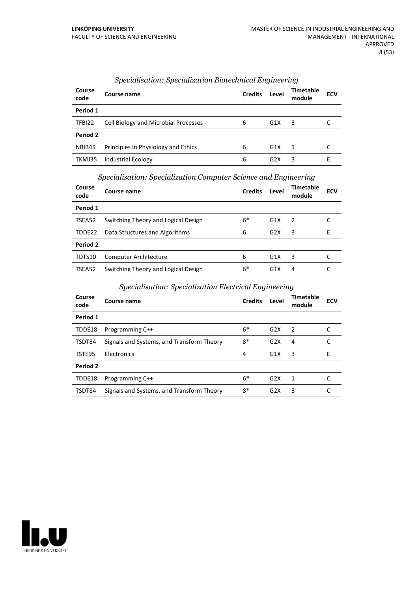| Course<br>code | Course name                          | <b>Credits</b> | Level            | <b>Timetable</b><br>module | <b>ECV</b> |
|----------------|--------------------------------------|----------------|------------------|----------------------------|------------|
| Period 1       |                                      |                |                  |                            |            |
| TFBI22         | Cell Biology and Microbial Processes | 6              | G1X              | 3                          |            |
| Period 2       |                                      |                |                  |                            |            |
| NBIB45         | Principles in Physiology and Ethics  | 6              | G1X              | $\overline{1}$             |            |
| TKMJ35         | <b>Industrial Ecology</b>            | 6              | G <sub>2</sub> X | 3                          | н          |

## *Specialisation: Specialization Biotechnical Engineering*

*Specialisation: Specialization Computer Science and Engineering*

| Course<br>code | Course name                         | <b>Credits</b> | Level | <b>Timetable</b><br>module | <b>ECV</b> |
|----------------|-------------------------------------|----------------|-------|----------------------------|------------|
| Period 1       |                                     |                |       |                            |            |
| TSEA52         | Switching Theory and Logical Design | $6*$           | G1X   | - 2                        |            |
| TDDE22         | Data Structures and Algorithms      | 6              | G2X   | 3                          | Е          |
| Period 2       |                                     |                |       |                            |            |
| TDTS10         | <b>Computer Architecture</b>        | 6              | G1X   | 3                          |            |
| TSEA52         | Switching Theory and Logical Design | $6*$           | G1X   | 4                          |            |

## *Specialisation: Specialization Electrical Engineering*

| Course<br>code | Course name                               | <b>Credits</b> | Level | <b>Timetable</b><br>module | <b>ECV</b> |
|----------------|-------------------------------------------|----------------|-------|----------------------------|------------|
| Period 1       |                                           |                |       |                            |            |
| TDDE18         | Programming C++                           | $6*$           | G2X   | $\mathcal{P}$              |            |
| TSDT84         | Signals and Systems, and Transform Theory | 8*             | G2X   | 4                          |            |
| TSTE95         | Electronics                               | 4              | G1X   | 3                          | Е          |
| Period 2       |                                           |                |       |                            |            |
| TDDE18         | Programming C++                           | $6*$           | G2X   | 1                          |            |
| TSDT84         | Signals and Systems, and Transform Theory | 8*             | G2X   | 3                          |            |

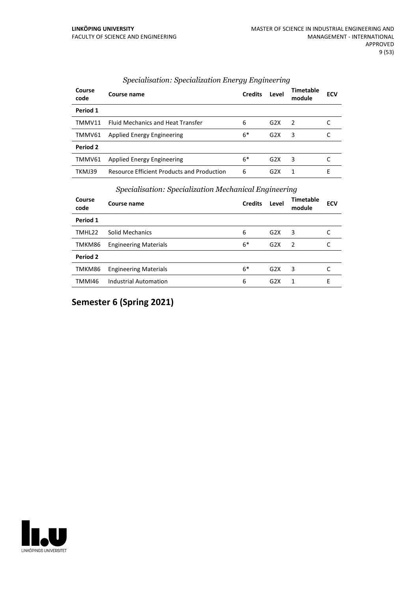| Course<br>code  | Course name                                       | <b>Credits</b> | Level            | <b>Timetable</b><br>module | <b>ECV</b> |
|-----------------|---------------------------------------------------|----------------|------------------|----------------------------|------------|
| Period 1        |                                                   |                |                  |                            |            |
| TMMV11          | <b>Fluid Mechanics and Heat Transfer</b>          | 6              | G2X              | $\mathcal{L}$              |            |
| TMMV61          | <b>Applied Energy Engineering</b>                 | $6*$           | G2X              | 3                          |            |
| <b>Period 2</b> |                                                   |                |                  |                            |            |
| TMMV61          | <b>Applied Energy Engineering</b>                 | $6*$           | G2X              | 3                          |            |
| TKMJ39          | <b>Resource Efficient Products and Production</b> | 6              | G <sub>2</sub> X | 1                          | F          |

#### *Specialisation: Specialization Energy Engineering*

## *Specialisation: Specialization Mechanical Engineering*

| Course<br>code | . .<br>Course name           | <b>Credits</b> | $\cdot$<br>Level | $\cdot$<br><b>Timetable</b><br>module | <b>ECV</b> |
|----------------|------------------------------|----------------|------------------|---------------------------------------|------------|
| Period 1       |                              |                |                  |                                       |            |
| TMHL22         | <b>Solid Mechanics</b>       | 6              | G2X              | 3                                     | C          |
| TMKM86         | <b>Engineering Materials</b> | $6*$           | G <sub>2</sub> X | $\overline{z}$                        | C          |
| Period 2       |                              |                |                  |                                       |            |
| TMKM86         | <b>Engineering Materials</b> | $6*$           | G2X              | 3                                     |            |
| TMMI46         | <b>Industrial Automation</b> | 6              | G <sub>2</sub> X | 1                                     | Е          |

**Semester 6 (Spring 2021)**

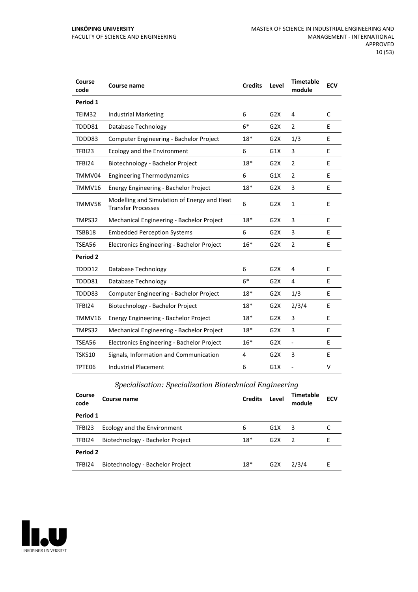| Course<br>code | Course name                                                              | <b>Credits</b> | Level            | <b>Timetable</b><br>module | <b>ECV</b> |
|----------------|--------------------------------------------------------------------------|----------------|------------------|----------------------------|------------|
| Period 1       |                                                                          |                |                  |                            |            |
| TEIM32         | <b>Industrial Marketing</b>                                              | 6              | G2X              | 4                          | C          |
| TDDD81         | Database Technology                                                      | $6*$           | G2X              | $\overline{2}$             | E          |
| TDDD83         | Computer Engineering - Bachelor Project                                  | $18*$          | G2X              | 1/3                        | E          |
| TFBI23         | Ecology and the Environment                                              | 6              | G1X              | 3                          | E          |
| TFBI24         | Biotechnology - Bachelor Project                                         | $18*$          | G2X              | $\overline{2}$             | E          |
| TMMV04         | <b>Engineering Thermodynamics</b>                                        | 6              | G1X              | $\overline{2}$             | E          |
| TMMV16         | Energy Engineering - Bachelor Project                                    | $18*$          | G2X              | 3                          | Е          |
| TMMV58         | Modelling and Simulation of Energy and Heat<br><b>Transfer Processes</b> | 6              | G <sub>2</sub> X | $\mathbf{1}$               | E          |
| TMPS32         | Mechanical Engineering - Bachelor Project                                | $18*$          | G2X              | 3                          | E          |
| TSBB18         | <b>Embedded Perception Systems</b>                                       | 6              | G2X              | 3                          | E          |
| TSEA56         | Electronics Engineering - Bachelor Project                               | $16*$          | G2X              | $\overline{2}$             | E          |
| Period 2       |                                                                          |                |                  |                            |            |
| TDDD12         | Database Technology                                                      | 6              | G2X              | 4                          | Е          |
| TDDD81         | Database Technology                                                      | $6*$           | G2X              | 4                          | E          |
| TDDD83         | Computer Engineering - Bachelor Project                                  | $18*$          | G2X              | 1/3                        | E          |
| TFBI24         | Biotechnology - Bachelor Project                                         | $18*$          | G2X              | 2/3/4                      | E          |
| TMMV16         | Energy Engineering - Bachelor Project                                    | $18*$          | G2X              | 3                          | E          |
| TMPS32         | Mechanical Engineering - Bachelor Project                                | $18*$          | G2X              | 3                          | E          |
| TSEA56         | Electronics Engineering - Bachelor Project                               | $16*$          | G2X              | $\overline{\phantom{0}}$   | E          |
| TSKS10         | Signals, Information and Communication                                   | 4              | G2X              | 3                          | Е          |
| TPTE06         | <b>Industrial Placement</b>                                              | 6              | G1X              | -                          | V          |

## *Specialisation: Specialization Biotechnical Engineering*

| Course<br>code | Course name                      | <b>Credits</b> | Level | <b>Timetable</b><br>module | <b>ECV</b> |
|----------------|----------------------------------|----------------|-------|----------------------------|------------|
| Period 1       |                                  |                |       |                            |            |
| TFBI23         | Ecology and the Environment      | 6              | G1X   | 3                          |            |
| TFBI24         | Biotechnology - Bachelor Project | $18*$          | G2X   | $\overline{2}$             | F          |
| Period 2       |                                  |                |       |                            |            |
| TFBI24         | Biotechnology - Bachelor Project | $18*$          | G2X   | 2/3/4                      | F          |

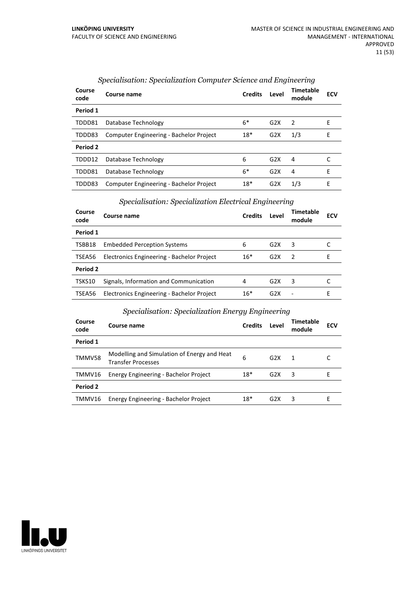| Course<br>code | Course name                             | <b>Credits</b> | Level            | Timetable<br>module | <b>ECV</b> |
|----------------|-----------------------------------------|----------------|------------------|---------------------|------------|
| Period 1       |                                         |                |                  |                     |            |
| TDDD81         | Database Technology                     | $6*$           | G2X              | $\mathcal{P}$       | F          |
| TDDD83         | Computer Engineering - Bachelor Project | $18*$          | G <sub>2</sub> X | 1/3                 | Е          |
| Period 2       |                                         |                |                  |                     |            |
| TDDD12         | Database Technology                     | 6              | G2X              | 4                   |            |
| TDDD81         | Database Technology                     | $6*$           | G2X              | 4                   | F          |
| TDDD83         | Computer Engineering - Bachelor Project | $18*$          | G <sub>2</sub> X | 1/3                 | E          |

## *Specialisation: Specialization Computer Science and Engineering*

## *Specialisation: Specialization Electrical Engineering*

| Course<br>code  | Course name                                | <b>Credits</b> | Level | Timetable<br>module | <b>ECV</b> |
|-----------------|--------------------------------------------|----------------|-------|---------------------|------------|
| Period 1        |                                            |                |       |                     |            |
| TSBB18          | <b>Embedded Perception Systems</b>         | 6              | G2X   | 3                   |            |
| TSEA56          | Electronics Engineering - Bachelor Project | $16*$          | G2X   | 2                   | F          |
| <b>Period 2</b> |                                            |                |       |                     |            |
| TSKS10          | Signals, Information and Communication     | 4              | G2X   | 3                   |            |
| TSEA56          | Electronics Engineering - Bachelor Project | $16*$          | G2X   |                     | ۲          |

#### *Specialisation: Specialization Energy Engineering*

| Course<br>code | Course name                                                              | <b>Credits</b> | Level            | <b>Timetable</b><br>module | <b>ECV</b> |
|----------------|--------------------------------------------------------------------------|----------------|------------------|----------------------------|------------|
| Period 1       |                                                                          |                |                  |                            |            |
| TMMV58         | Modelling and Simulation of Energy and Heat<br><b>Transfer Processes</b> | 6              | G2X              | 1                          |            |
| TMMV16         | Energy Engineering - Bachelor Project                                    | $18*$          | G2X              | 3                          | Е          |
| Period 2       |                                                                          |                |                  |                            |            |
| TMMV16         | Energy Engineering - Bachelor Project                                    | $18*$          | G <sub>2</sub> X | 3                          | Е          |

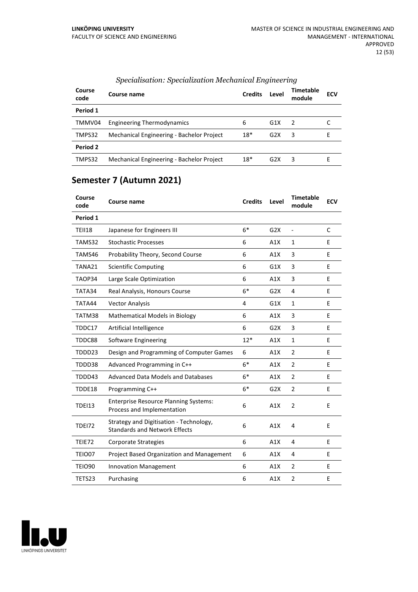| Course<br>code | Course name                               | <b>Credits</b> | Level            | Timetable<br>module | <b>ECV</b> |
|----------------|-------------------------------------------|----------------|------------------|---------------------|------------|
| Period 1       |                                           |                |                  |                     |            |
| TMMV04         | <b>Engineering Thermodynamics</b>         | 6              | G1X              | - 2                 |            |
| TMPS32         | Mechanical Engineering - Bachelor Project | $18*$          | G2X              | 3                   | F          |
| Period 2       |                                           |                |                  |                     |            |
| TMPS32         | Mechanical Engineering - Bachelor Project | $18*$          | G <sub>2</sub> X | 3                   |            |

## *Specialisation: Specialization Mechanical Engineering*

## **Semester 7 (Autumn 2021)**

| Course<br>code | <b>Course name</b>                                                              | <b>Credits</b> | Level | <b>Timetable</b><br>module | <b>ECV</b> |
|----------------|---------------------------------------------------------------------------------|----------------|-------|----------------------------|------------|
| Period 1       |                                                                                 |                |       |                            |            |
| <b>TEII18</b>  | Japanese for Engineers III                                                      | $6*$           | G2X   |                            | C          |
| TAMS32         | <b>Stochastic Processes</b>                                                     | 6              | A1X   | 1                          | E          |
| TAMS46         | Probability Theory, Second Course                                               | 6              | A1X   | 3                          | E          |
| TANA21         | <b>Scientific Computing</b>                                                     | 6              | G1X   | 3                          | E          |
| TAOP34         | Large Scale Optimization                                                        | 6              | A1X   | 3                          | E          |
| TATA34         | Real Analysis, Honours Course                                                   | $6*$           | G2X   | 4                          | E          |
| TATA44         | <b>Vector Analysis</b>                                                          | 4              | G1X   | $\mathbf{1}$               | E          |
| TATM38         | Mathematical Models in Biology                                                  | 6              | A1X   | 3                          | E          |
| TDDC17         | Artificial Intelligence                                                         | 6              | G2X   | 3                          | E          |
| TDDC88         | <b>Software Engineering</b>                                                     | $12*$          | A1X   | $\mathbf{1}$               | E          |
| TDDD23         | Design and Programming of Computer Games                                        | 6              | A1X   | $\overline{2}$             | E          |
| TDDD38         | Advanced Programming in C++                                                     | $6*$           | A1X   | $\overline{2}$             | E          |
| TDDD43         | <b>Advanced Data Models and Databases</b>                                       | $6*$           | A1X   | $\overline{2}$             | E          |
| TDDE18         | Programming C++                                                                 | $6*$           | G2X   | $\overline{2}$             | E          |
| <b>TDEI13</b>  | <b>Enterprise Resource Planning Systems:</b><br>Process and Implementation      | 6              | A1X   | $\overline{2}$             | E          |
| <b>TDE172</b>  | Strategy and Digitisation - Technology,<br><b>Standards and Network Effects</b> | 6              | A1X   | 4                          | E          |
| TEIE72         | Corporate Strategies                                                            | 6              | A1X   | 4                          | E          |
| <b>TEIO07</b>  | Project Based Organization and Management                                       | 6              | A1X   | 4                          | E          |
| <b>TEIO90</b>  | <b>Innovation Management</b>                                                    | 6              | A1X   | $\overline{2}$             | E          |
| TETS23         | Purchasing                                                                      | 6              | A1X   | $\overline{2}$             | Е          |

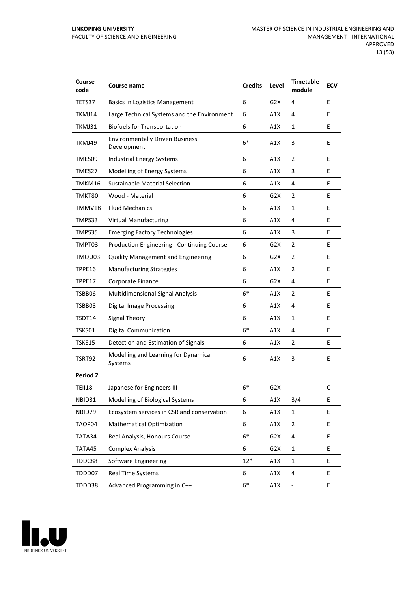| Course<br>code  | Course name                                           | <b>Credits</b> | Level            | <b>Timetable</b><br>module   | <b>ECV</b> |
|-----------------|-------------------------------------------------------|----------------|------------------|------------------------------|------------|
| TETS37          | <b>Basics in Logistics Management</b>                 | 6              | G2X              | 4                            | E          |
| TKMJ14          | Large Technical Systems and the Environment           | 6              | A1X              | 4                            | Е          |
| TKMJ31          | <b>Biofuels for Transportation</b>                    | 6              | A1X              | $\mathbf{1}$                 | E          |
| TKMJ49          | <b>Environmentally Driven Business</b><br>Development | $6*$           | A1X              | 3                            | E          |
| TMES09          | <b>Industrial Energy Systems</b>                      | 6              | A1X              | 2                            | E          |
| TMES27          | Modelling of Energy Systems                           | 6              | A1X              | 3                            | Е          |
| TMKM16          | Sustainable Material Selection                        | 6              | A1X              | 4                            | E          |
| TMKT80          | Wood - Material                                       | 6              | G <sub>2</sub> X | $\overline{2}$               | E          |
| TMMV18          | <b>Fluid Mechanics</b>                                | 6              | A1X              | 1                            | E          |
| TMPS33          | <b>Virtual Manufacturing</b>                          | 6              | A1X              | 4                            | E          |
| TMPS35          | <b>Emerging Factory Technologies</b>                  | 6              | A1X              | 3                            | Е          |
| TMPT03          | Production Engineering - Continuing Course            | 6              | G2X              | $\overline{2}$               | E          |
| TMQU03          | <b>Quality Management and Engineering</b>             | 6              | G2X              | $\overline{2}$               | E          |
| TPPE16          | <b>Manufacturing Strategies</b>                       | 6              | A1X              | $\overline{2}$               | E          |
| TPPE17          | Corporate Finance                                     | 6              | G2X              | 4                            | E          |
| TSBB06          | <b>Multidimensional Signal Analysis</b>               | $6*$           | A1X              | $\overline{2}$               | Е          |
| TSBB08          | <b>Digital Image Processing</b>                       | 6              | A1X              | 4                            | E          |
| TSDT14          | Signal Theory                                         | 6              | A1X              | $\mathbf{1}$                 | E          |
| TSKS01          | <b>Digital Communication</b>                          | $6*$           | A1X              | 4                            | E          |
| TSKS15          | Detection and Estimation of Signals                   | 6              | A1X              | $\overline{2}$               | E          |
| <b>TSRT92</b>   | Modelling and Learning for Dynamical<br>Systems       | 6              | A1X              | 3                            | E          |
| <b>Period 2</b> |                                                       |                |                  |                              |            |
| <b>TEII18</b>   | Japanese for Engineers III                            | $6*$           | G <sub>2</sub> X |                              | C          |
| NBID31          | Modelling of Biological Systems                       | 6              | A1X              | 3/4                          | E          |
| NBID79          | Ecosystem services in CSR and conservation            | 6              | A1X              | 1                            | E          |
| TAOP04          | <b>Mathematical Optimization</b>                      | 6              | A1X              | $\mathbf{2}$                 | E.         |
| TATA34          | Real Analysis, Honours Course                         | $6*$           | G <sub>2</sub> X | 4                            | E          |
| TATA45          | <b>Complex Analysis</b>                               | 6              | G <sub>2</sub> X | $\mathbf{1}$                 | E          |
| TDDC88          | <b>Software Engineering</b>                           | $12*$          | A1X              | $\mathbf{1}$                 | E          |
| TDDD07          | Real Time Systems                                     | 6              | A1X              | 4                            | E          |
| TDDD38          | Advanced Programming in C++                           | $6*$           | A1X              | $\qquad \qquad \blacksquare$ | E          |

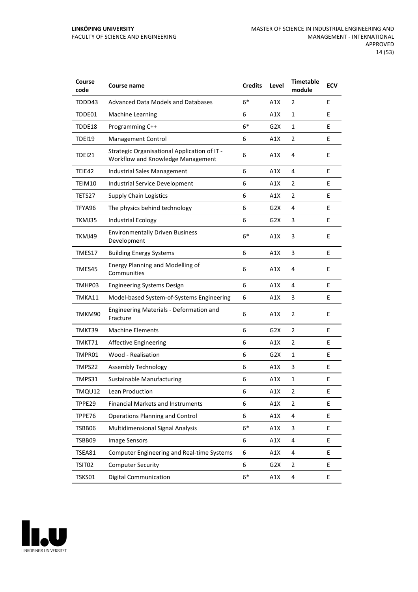| Course<br>code | Course name                                                                       | <b>Credits</b> | Level            | <b>Timetable</b><br>module | <b>ECV</b> |
|----------------|-----------------------------------------------------------------------------------|----------------|------------------|----------------------------|------------|
| TDDD43         | <b>Advanced Data Models and Databases</b>                                         | $6*$           | A1X              | 2                          | E          |
| TDDE01         | <b>Machine Learning</b>                                                           | 6              | A1X              | $\mathbf{1}$               | Е          |
| TDDE18         | Programming C++                                                                   | $6*$           | G2X              | $\mathbf{1}$               | E          |
| TDEI19         | <b>Management Control</b>                                                         | 6              | A1X              | $\overline{2}$             | E          |
| <b>TDEI21</b>  | Strategic Organisational Application of IT -<br>Workflow and Knowledge Management | 6              | A1X              | 4                          | E          |
| TEIE42         | Industrial Sales Management                                                       | 6              | A1X              | 4                          | E          |
| TEIM10         | Industrial Service Development                                                    | 6              | A1X              | 2                          | E          |
| TETS27         | <b>Supply Chain Logistics</b>                                                     | 6              | A1X              | 2                          | E          |
| TFYA96         | The physics behind technology                                                     | 6              | G2X              | 4                          | E          |
| TKMJ35         | <b>Industrial Ecology</b>                                                         | 6              | G2X              | 3                          | E          |
| TKMJ49         | <b>Environmentally Driven Business</b><br>Development                             | $6*$           | A1X              | 3                          | E          |
| TMES17         | <b>Building Energy Systems</b>                                                    | 6              | A1X              | 3                          | E          |
| TMES45         | Energy Planning and Modelling of<br>Communities                                   | 6              | A1X              | 4                          | E          |
| TMHP03         | <b>Engineering Systems Design</b>                                                 | 6              | A1X              | 4                          | E          |
| TMKA11         | Model-based System-of-Systems Engineering                                         | 6              | A1X              | 3                          | Е          |
| TMKM90         | <b>Engineering Materials - Deformation and</b><br>Fracture                        | 6              | A1X              | $\overline{2}$             | E          |
| TMKT39         | <b>Machine Elements</b>                                                           | 6              | G <sub>2</sub> X | $\overline{2}$             | E          |
| TMKT71         | <b>Affective Engineering</b>                                                      | 6              | A1X              | $\overline{2}$             | E          |
| TMPR01         | Wood - Realisation                                                                | 6              | G <sub>2</sub> X | $\mathbf{1}$               | Е          |
| TMPS22         | <b>Assembly Technology</b>                                                        | 6              | A1X              | 3                          | E          |
| TMPS31         | <b>Sustainable Manufacturing</b>                                                  | 6              | A1X              | 1                          | E          |
| TMQU12         | Lean Production                                                                   | 6              | A1X              | 2                          | Ε          |
| TPPE29         | <b>Financial Markets and Instruments</b>                                          | 6              | A1X              | $\overline{2}$             | E          |
| TPPE76         | <b>Operations Planning and Control</b>                                            | 6              | A1X              | 4                          | E          |
| TSBB06         | Multidimensional Signal Analysis                                                  | $6*$           | A1X              | 3                          | E.         |
| TSBB09         | <b>Image Sensors</b>                                                              | 6              | A1X              | 4                          | E          |
| TSEA81         | <b>Computer Engineering and Real-time Systems</b>                                 | 6              | A1X              | 4                          | E          |
| TSIT02         | <b>Computer Security</b>                                                          | 6              | G <sub>2</sub> X | $\overline{2}$             | E          |
| TSKS01         | <b>Digital Communication</b>                                                      | $6*$           | A1X              | 4                          | E          |

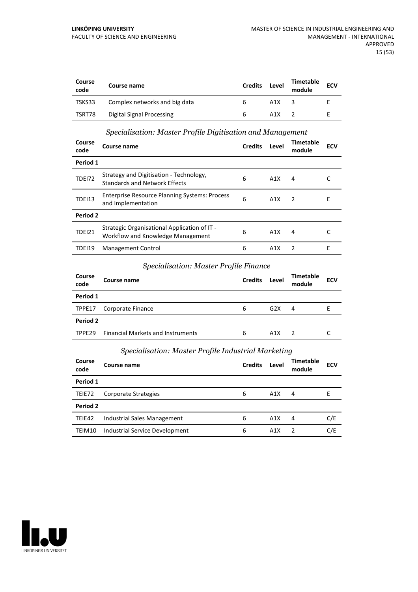| Course<br>code | Course name                      | <b>Credits</b> | Level | <b>Timetable</b><br>module | <b>ECV</b> |
|----------------|----------------------------------|----------------|-------|----------------------------|------------|
| TSKS33         | Complex networks and big data    | h              | A1X   |                            |            |
| TSRT78         | <b>Digital Signal Processing</b> | h              | A1X   |                            |            |

## *Specialisation: Master Profile Digitisation and Management*

| Course<br>code | Course name                                                                       | <b>Credits</b> | Level | Timetable<br>module | <b>ECV</b> |
|----------------|-----------------------------------------------------------------------------------|----------------|-------|---------------------|------------|
| Period 1       |                                                                                   |                |       |                     |            |
| <b>TDE172</b>  | Strategy and Digitisation - Technology,<br><b>Standards and Network Effects</b>   | 6              | A1X   | 4                   |            |
| <b>TDEI13</b>  | <b>Enterprise Resource Planning Systems: Process</b><br>and Implementation        | 6              | A1X   | $\overline{z}$      | Е          |
| Period 2       |                                                                                   |                |       |                     |            |
| <b>TDEI21</b>  | Strategic Organisational Application of IT -<br>Workflow and Knowledge Management | 6              | A1X   | 4                   |            |
| TDEI19         | <b>Management Control</b>                                                         | 6              | A1X   | $\mathcal{P}$       | F          |

## *Specialisation: Master Profile Finance*

| Course<br>code | Course name                              | <b>Credits</b> | Level | <b>Timetable</b><br>module | <b>ECV</b> |
|----------------|------------------------------------------|----------------|-------|----------------------------|------------|
| Period 1       |                                          |                |       |                            |            |
| TPPE17         | Corporate Finance                        | 6              | G2X   | 4                          | ь.         |
| Period 2       |                                          |                |       |                            |            |
| TPPE29         | <b>Financial Markets and Instruments</b> | 6              | A1X   | $\mathcal{L}$              |            |

## *Specialisation: Master Profile Industrial Marketing*

| <b>Course</b><br>code | Course name                    | <b>Credits</b> | Level | Timetable<br>module | <b>ECV</b> |
|-----------------------|--------------------------------|----------------|-------|---------------------|------------|
| Period 1              |                                |                |       |                     |            |
| TEIE72                | Corporate Strategies           | 6              | A1X   | 4                   | F          |
| Period 2              |                                |                |       |                     |            |
| TEIE42                | Industrial Sales Management    | 6              | A1X   | 4                   | C/E        |
| TEIM10                | Industrial Service Development | 6              | A1X   |                     | C/E        |

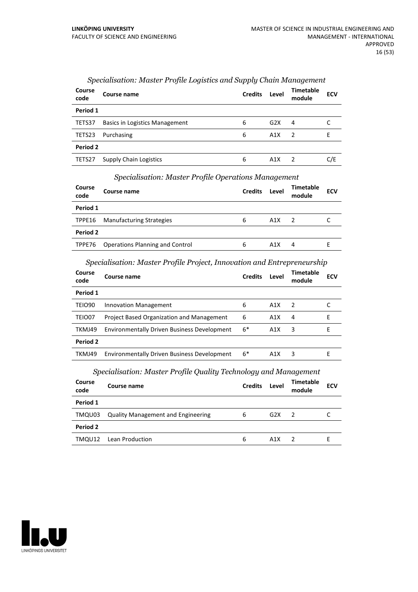| Course<br>code | Course name                    | <b>Credits</b> | Level | <b>Timetable</b><br>module | <b>ECV</b> |
|----------------|--------------------------------|----------------|-------|----------------------------|------------|
| Period 1       |                                |                |       |                            |            |
| TETS37         | Basics in Logistics Management | 6              | G2X   | 4                          |            |
| TETS23         | Purchasing                     | 6              | A1X   | $\overline{2}$             | F          |
| Period 2       |                                |                |       |                            |            |
| TETS27         | <b>Supply Chain Logistics</b>  | 6              | A1X   |                            | C/E        |

## *Specialisation: Master Profile Logistics and Supply Chain Management*

| Course name                            |                      | <b>Credits</b> | Level            | Timetable<br>module | <b>ECV</b> |
|----------------------------------------|----------------------|----------------|------------------|---------------------|------------|
|                                        |                      |                |                  |                     |            |
| <b>Manufacturing Strategies</b>        |                      | 6              | A1X              | - 2                 |            |
|                                        |                      |                |                  |                     |            |
| <b>Operations Planning and Control</b> |                      | 6              | A <sub>1</sub> X | 4                   | ь.         |
|                                        | Period 1<br>Period 2 |                |                  |                     |            |

#### *Specialisation: Master Profile Operations Management*

## *Specialisation: Master Profile Project, Innovation and Entrepreneurship*

| Course<br>code | Course name                                        | <b>Credits</b> | Level | Timetable<br>module | ECV |
|----------------|----------------------------------------------------|----------------|-------|---------------------|-----|
| Period 1       |                                                    |                |       |                     |     |
| TEIO90         | Innovation Management                              | 6              | A1X   | $\overline{2}$      |     |
| TEIO07         | <b>Project Based Organization and Management</b>   | 6              | A1X   | 4                   | F   |
| TKMJ49         | <b>Environmentally Driven Business Development</b> | $6*$           | A1X   | 3                   | F   |
| Period 2       |                                                    |                |       |                     |     |
| TKMJ49         | <b>Environmentally Driven Business Development</b> | $6*$           | A1X   | 3                   | F   |

#### *Specialisation: Master Profile Quality Technology and Management*

| Course<br>code | Course name                               | <b>Credits</b> | Level | Timetable<br>module | <b>ECV</b> |
|----------------|-------------------------------------------|----------------|-------|---------------------|------------|
| Period 1       |                                           |                |       |                     |            |
| TMQU03         | <b>Quality Management and Engineering</b> | 6              | G2X   | - 2                 |            |
| Period 2       |                                           |                |       |                     |            |
| TMQU12         | Lean Production                           | 6              | A1X   |                     |            |

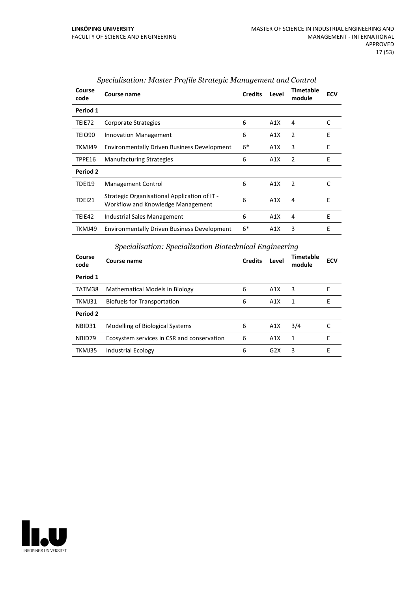| Course<br>code | Course name                                                                       | <b>Credits</b> | Level | <b>Timetable</b><br>module | <b>ECV</b> |
|----------------|-----------------------------------------------------------------------------------|----------------|-------|----------------------------|------------|
| Period 1       |                                                                                   |                |       |                            |            |
| TEIE72         | Corporate Strategies                                                              | 6              | A1X   | 4                          | C          |
| TEIO90         | <b>Innovation Management</b>                                                      | 6              | A1X   | 2                          | E          |
| TKMJ49         | <b>Environmentally Driven Business Development</b>                                | $6*$           | A1X   | 3                          | E          |
| TPPE16         | <b>Manufacturing Strategies</b>                                                   | 6              | A1X   | 2                          | E          |
| Period 2       |                                                                                   |                |       |                            |            |
| TDEI19         | Management Control                                                                | 6              | A1X   | 2                          | C          |
| TDEI21         | Strategic Organisational Application of IT -<br>Workflow and Knowledge Management | 6              | A1X   | 4                          | Ε          |
| TEIE42         | <b>Industrial Sales Management</b>                                                | 6              | A1X   | 4                          | E          |
| TKMJ49         | <b>Environmentally Driven Business Development</b>                                | $6*$           | A1X   | 3                          | E          |

## *Specialisation: Master Profile Strategic Management and Control*

## *Specialisation: Specialization Biotechnical Engineering*

| Course<br>code | Course name                                | <b>Credits</b> | Level            | Timetable<br>module | <b>ECV</b> |
|----------------|--------------------------------------------|----------------|------------------|---------------------|------------|
| Period 1       |                                            |                |                  |                     |            |
| TATM38         | Mathematical Models in Biology             | 6              | A1X              | 3                   | F          |
| TKMJ31         | Biofuels for Transportation                | 6              | A1X              | 1                   | Е          |
| Period 2       |                                            |                |                  |                     |            |
| NBID31         | Modelling of Biological Systems            | 6              | A1X              | 3/4                 |            |
| NBID79         | Ecosystem services in CSR and conservation | 6              | A <sub>1</sub> X | 1                   | F          |
| TKMJ35         | Industrial Ecology                         | 6              | G2X              | 3                   | F          |

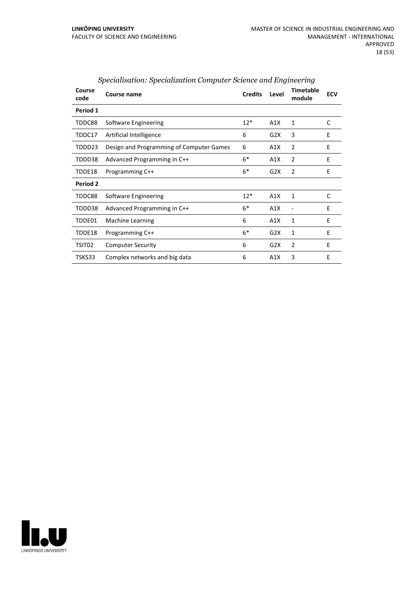| Course<br>code  | <b>Course name</b>                       | <b>Credits</b> | Level | <b>Timetable</b><br>module | <b>ECV</b> |
|-----------------|------------------------------------------|----------------|-------|----------------------------|------------|
| Period 1        |                                          |                |       |                            |            |
| TDDC88          | <b>Software Engineering</b>              | $12*$          | A1X   | 1                          | C          |
| TDDC17          | Artificial Intelligence                  | 6              | G2X   | 3                          | E          |
| TDDD23          | Design and Programming of Computer Games | 6              | A1X   | 2                          | E          |
| TDDD38          | Advanced Programming in C++              | $6*$           | A1X   | $\overline{2}$             | E          |
| TDDE18          | Programming C++                          | $6*$           | G2X   | 2                          | E          |
| <b>Period 2</b> |                                          |                |       |                            |            |
| TDDC88          | Software Engineering                     | $12*$          | A1X   | 1                          | C          |
| TDDD38          | Advanced Programming in C++              | $6*$           | A1X   |                            | E          |
| TDDE01          | Machine Learning                         | 6              | A1X   | 1                          | E          |
| TDDE18          | Programming C++                          | $6*$           | G2X   | 1                          | E          |
| TSIT02          | <b>Computer Security</b>                 | 6              | G2X   | $\overline{2}$             | E          |
| TSKS33          | Complex networks and big data            | 6              | A1X   | 3                          | E          |

## *Specialisation: Specialization Computer Science and Engineering*

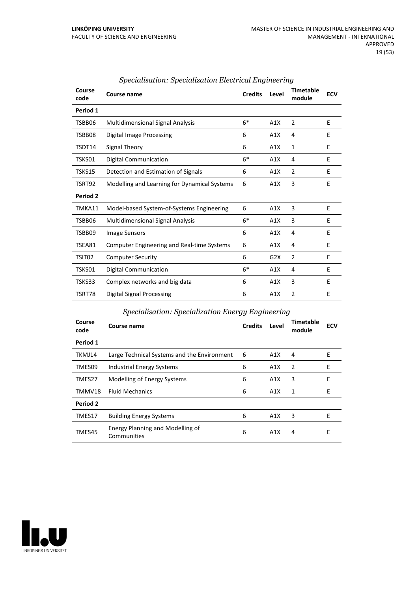| Course<br>code  | Course name                                       | <b>Credits</b> | Level | <b>Timetable</b><br>module | <b>ECV</b> |
|-----------------|---------------------------------------------------|----------------|-------|----------------------------|------------|
| Period 1        |                                                   |                |       |                            |            |
| TSBB06          | <b>Multidimensional Signal Analysis</b>           | $6*$           | A1X   | 2                          | E          |
| TSBB08          | Digital Image Processing                          | 6              | A1X   | 4                          | E          |
| TSDT14          | Signal Theory                                     | 6              | A1X   | 1                          | E          |
| TSKS01          | <b>Digital Communication</b>                      | $6*$           | A1X   | 4                          | E          |
| TSKS15          | Detection and Estimation of Signals               | 6              | A1X   | $\overline{2}$             | E          |
| TSRT92          | Modelling and Learning for Dynamical Systems      | 6              | A1X   | 3                          | E          |
| <b>Period 2</b> |                                                   |                |       |                            |            |
| TMKA11          | Model-based System-of-Systems Engineering         | 6              | A1X   | 3                          | E          |
| TSBB06          | <b>Multidimensional Signal Analysis</b>           | $6*$           | A1X   | 3                          | E          |
| TSBB09          | Image Sensors                                     | 6              | A1X   | 4                          | E          |
| TSEA81          | <b>Computer Engineering and Real-time Systems</b> | 6              | A1X   | 4                          | E          |
| TSIT02          | <b>Computer Security</b>                          | 6              | G2X   | $\overline{2}$             | E          |
| TSKS01          | Digital Communication                             | $6*$           | A1X   | 4                          | E          |
| TSKS33          | Complex networks and big data                     | 6              | A1X   | 3                          | E          |
| TSRT78          | Digital Signal Processing                         | 6              | A1X   | $\overline{2}$             | E          |

## *Specialisation: Specialization Electrical Engineering*

## *Specialisation: Specialization Energy Engineering*

| Course<br>code | Course name                                            | <b>Credits</b> | Level | <b>Timetable</b><br>module | <b>ECV</b> |
|----------------|--------------------------------------------------------|----------------|-------|----------------------------|------------|
| Period 1       |                                                        |                |       |                            |            |
| TKMJ14         | Large Technical Systems and the Environment            | 6              | A1X   | 4                          | E          |
| TMES09         | Industrial Energy Systems                              | 6              | A1X   | 2                          | E          |
| TMES27         | Modelling of Energy Systems                            | 6              | A1X   | 3                          | E          |
| TMMV18         | <b>Fluid Mechanics</b>                                 | 6              | A1X   | 1                          | E          |
| Period 2       |                                                        |                |       |                            |            |
| TMES17         | <b>Building Energy Systems</b>                         | 6              | A1X   | 3                          | F          |
| TMES45         | <b>Energy Planning and Modelling of</b><br>Communities | 6              | A1X   | 4                          | E          |

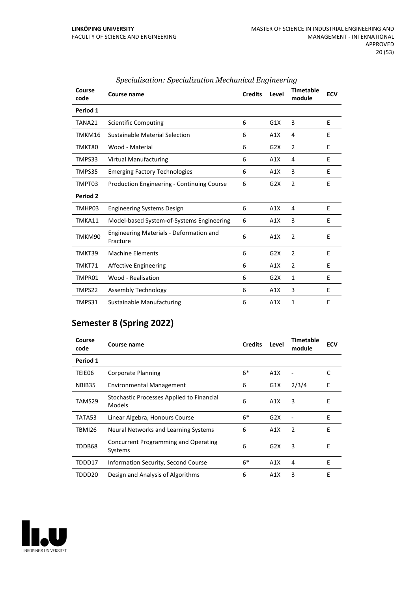| Course<br>code  | Course name                                                | <b>Credits</b> | Level            | <b>Timetable</b><br>module | <b>ECV</b> |
|-----------------|------------------------------------------------------------|----------------|------------------|----------------------------|------------|
| Period 1        |                                                            |                |                  |                            |            |
| TANA21          | <b>Scientific Computing</b>                                | 6              | G1X              | 3                          | E          |
| TMKM16          | Sustainable Material Selection                             | 6              | A1X              | 4                          | E          |
| TMKT80          | Wood - Material                                            | 6              | G <sub>2</sub> X | $\overline{2}$             | E          |
| TMPS33          | <b>Virtual Manufacturing</b>                               | 6              | A1X              | 4                          | E          |
| TMPS35          | <b>Emerging Factory Technologies</b>                       | 6              | A1X              | 3                          | E          |
| TMPT03          | <b>Production Engineering - Continuing Course</b>          | 6              | G2X              | 2                          | E          |
| <b>Period 2</b> |                                                            |                |                  |                            |            |
| TMHP03          | <b>Engineering Systems Design</b>                          | 6              | A1X              | 4                          | E          |
| TMKA11          | Model-based System-of-Systems Engineering                  | 6              | A1X              | 3                          | E          |
| TMKM90          | <b>Engineering Materials - Deformation and</b><br>Fracture | 6              | A1X              | $\overline{2}$             | E          |
| TMKT39          | <b>Machine Elements</b>                                    | 6              | G2X              | 2                          | E          |
| TMKT71          | <b>Affective Engineering</b>                               | 6              | A1X              | 2                          | E          |
| TMPR01          | Wood - Realisation                                         | 6              | G2X              | 1                          | E          |
| TMPS22          | Assembly Technology                                        | 6              | A1X              | 3                          | E          |
| TMPS31          | <b>Sustainable Manufacturing</b>                           | 6              | A1X              | 1                          | E          |

## *Specialisation: Specialization Mechanical Engineering*

## **Semester 8 (Spring 2022)**

| Course<br>code | Course name                                         | <b>Credits</b> | Level | <b>Timetable</b><br>module | <b>ECV</b> |
|----------------|-----------------------------------------------------|----------------|-------|----------------------------|------------|
| Period 1       |                                                     |                |       |                            |            |
| TEIE06         | Corporate Planning                                  | $6*$           | A1X   |                            | C          |
| NBIB35         | <b>Environmental Management</b>                     | 6              | G1X   | 2/3/4                      | E          |
| TAMS29         | Stochastic Processes Applied to Financial<br>Models | 6              | A1X   | 3                          | E          |
| TATA53         | Linear Algebra, Honours Course                      | $6*$           | G2X   |                            | E          |
| TBMI26         | Neural Networks and Learning Systems                | 6              | A1X   | 2                          | E          |
| TDDB68         | Concurrent Programming and Operating<br>Systems     | 6              | G2X   | 3                          | E          |
| TDDD17         | Information Security, Second Course                 | $6*$           | A1X   | 4                          | E          |
| TDDD20         | Design and Analysis of Algorithms                   | 6              | A1X   | 3                          | E          |

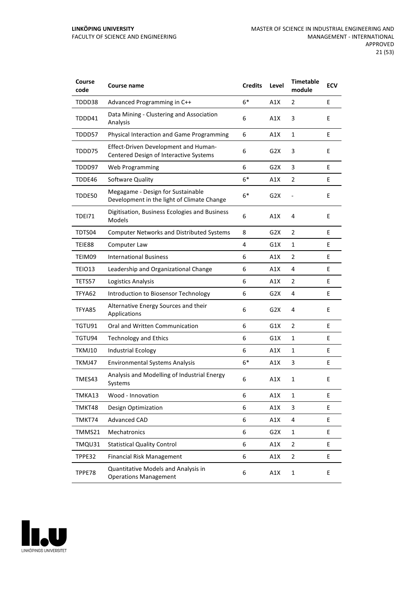#### **LINKÖPING UNIVERSITY** FACULTY OF SCIENCE AND ENGINEERING

| Course<br>code | Course name                                                                           | <b>Credits</b> | Level            | <b>Timetable</b><br>module | <b>ECV</b> |
|----------------|---------------------------------------------------------------------------------------|----------------|------------------|----------------------------|------------|
| TDDD38         | Advanced Programming in C++                                                           | $6*$           | A1X              | 2                          | E          |
| TDDD41         | Data Mining - Clustering and Association<br>Analysis                                  | 6              | A1X              | 3                          | E          |
| TDDD57         | Physical Interaction and Game Programming                                             | 6              | A1X              | 1                          | E          |
| TDDD75         | <b>Effect-Driven Development and Human-</b><br>Centered Design of Interactive Systems | 6              | G2X              | 3                          | E          |
| TDDD97         | Web Programming                                                                       | 6              | G <sub>2</sub> X | 3                          | E          |
| TDDE46         | Software Quality                                                                      | $6*$           | A1X              | 2                          | E          |
| TDDE50         | Megagame - Design for Sustainable<br>Development in the light of Climate Change       | $6*$           | G2X              |                            | E          |
| <b>TDE171</b>  | Digitisation, Business Ecologies and Business<br>Models                               | 6              | A1X              | 4                          | E          |
| TDTS04         | <b>Computer Networks and Distributed Systems</b>                                      | 8              | G <sub>2</sub> X | 2                          | Ε          |
| TEIE88         | Computer Law                                                                          | 4              | G1X              | 1                          | E          |
| TEIM09         | <b>International Business</b>                                                         | 6              | A1X              | 2                          | E          |
| TEIO13         | Leadership and Organizational Change                                                  | 6              | A1X              | 4                          | E          |
| TETS57         | Logistics Analysis                                                                    | 6              | A1X              | 2                          | E          |
| TFYA62         | Introduction to Biosensor Technology                                                  | 6              | G2X              | 4                          | E          |
| TFYA85         | Alternative Energy Sources and their<br>Applications                                  | 6              | G2X              | 4                          | E          |
| TGTU91         | Oral and Written Communication                                                        | 6              | G1X              | $\overline{2}$             | E          |
| TGTU94         | <b>Technology and Ethics</b>                                                          | 6              | G1X              | 1                          | E          |
| TKMJ10         | <b>Industrial Ecology</b>                                                             | 6              | A1X              | 1                          | Ε          |
| TKMJ47         | <b>Environmental Systems Analysis</b>                                                 | $6*$           | A1X              | 3                          | Е          |
| TMES43         | Analysis and Modelling of Industrial Energy<br>Systems                                | 6              | A1X              | 1                          | Е          |
| TMKA13         | Wood - Innovation                                                                     | 6              | A1X              | 1                          | E          |
| TMKT48         | <b>Design Optimization</b>                                                            | 6              | A1X              | 3                          | E          |
| TMKT74         | Advanced CAD                                                                          | 6              | A1X              | 4                          | E          |
| TMMS21         | Mechatronics                                                                          | 6              | G <sub>2</sub> X | $\mathbf{1}$               | E.         |
| TMQU31         | <b>Statistical Quality Control</b>                                                    | 6              | A1X              | $\overline{2}$             | E          |
| TPPE32         | <b>Financial Risk Management</b>                                                      | 6              | A1X              | $\overline{2}$             | E.         |
| TPPE78         | Quantitative Models and Analysis in<br><b>Operations Management</b>                   | 6              | A1X              | $\mathbf 1$                | E          |

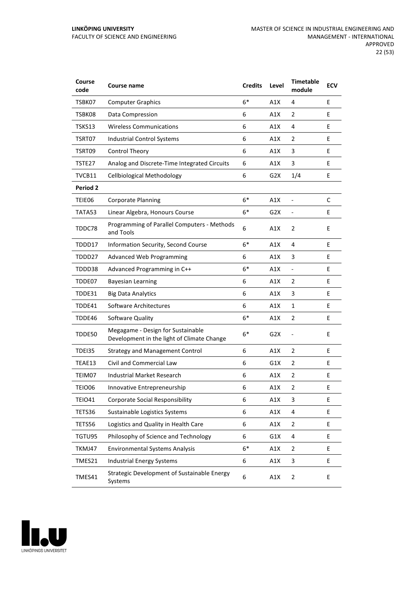| Course<br>code  | Course name                                                                     | <b>Credits</b> | Level            | <b>Timetable</b><br>module | <b>ECV</b> |
|-----------------|---------------------------------------------------------------------------------|----------------|------------------|----------------------------|------------|
| TSBK07          | <b>Computer Graphics</b>                                                        | $6*$           | A1X              | 4                          | E          |
| TSBK08          | Data Compression                                                                | 6              | A1X              | 2                          | E          |
| TSKS13          | <b>Wireless Communications</b>                                                  | 6              | A1X              | 4                          | E          |
| TSRT07          | Industrial Control Systems                                                      | 6              | A1X              | 2                          | E          |
| TSRT09          | Control Theory                                                                  | 6              | A1X              | 3                          | E          |
| TSTE27          | Analog and Discrete-Time Integrated Circuits                                    | 6              | A1X              | 3                          | E          |
| TVCB11          | <b>Cellbiological Methodology</b>                                               | 6              | G2X              | 1/4                        | E          |
| <b>Period 2</b> |                                                                                 |                |                  |                            |            |
| TEIE06          | <b>Corporate Planning</b>                                                       | $6*$           | A1X              |                            | C          |
| TATA53          | Linear Algebra, Honours Course                                                  | $6*$           | G <sub>2</sub> X | $\overline{a}$             | E          |
| TDDC78          | Programming of Parallel Computers - Methods<br>and Tools                        | 6              | A1X              | $\overline{2}$             | E          |
| TDDD17          | Information Security, Second Course                                             | $6*$           | A1X              | 4                          | E          |
| TDDD27          | <b>Advanced Web Programming</b>                                                 | 6              | A1X              | 3                          | E          |
| TDDD38          | Advanced Programming in C++                                                     | $6*$           | A1X              | $\overline{\phantom{0}}$   | E          |
| TDDE07          | <b>Bayesian Learning</b>                                                        | 6              | A1X              | 2                          | E          |
| TDDE31          | <b>Big Data Analytics</b>                                                       | 6              | A1X              | 3                          | E          |
| TDDE41          | Software Architectures                                                          | 6              | A1X              | 1                          | E          |
| TDDE46          | Software Quality                                                                | $6*$           | A1X              | $\overline{2}$             | E          |
| TDDE50          | Megagame - Design for Sustainable<br>Development in the light of Climate Change | $6*$           | G <sub>2</sub> X | $\overline{a}$             | E          |
| <b>TDE135</b>   | <b>Strategy and Management Control</b>                                          | 6              | A1X              | $\overline{2}$             | E          |
| TEAE13          | Civil and Commercial Law                                                        | 6              | G1X              | 2                          | Е          |
| TEIM07          | Industrial Market Research                                                      | 6              | A1X              | 2                          | E          |
| TEIO06          | Innovative Entrepreneurship                                                     | 6              | A1X              | $\overline{2}$             | E          |
| <b>TEIO41</b>   | <b>Corporate Social Responsibility</b>                                          | 6              | A1X              | 3                          | E          |
| TETS36          | Sustainable Logistics Systems                                                   | 6              | A1X              | 4                          | E          |
| TETS56          | Logistics and Quality in Health Care                                            | 6              | A1X              | 2                          | E          |
| TGTU95          | Philosophy of Science and Technology                                            | 6              | G1X              | 4                          | E          |
| TKMJ47          | <b>Environmental Systems Analysis</b>                                           | $6*$           | A1X              | 2                          | E          |
| TMES21          | <b>Industrial Energy Systems</b>                                                | 6              | A1X              | 3                          | E          |
| TMES41          | Strategic Development of Sustainable Energy<br>Systems                          | 6              | A1X              | 2                          | E          |

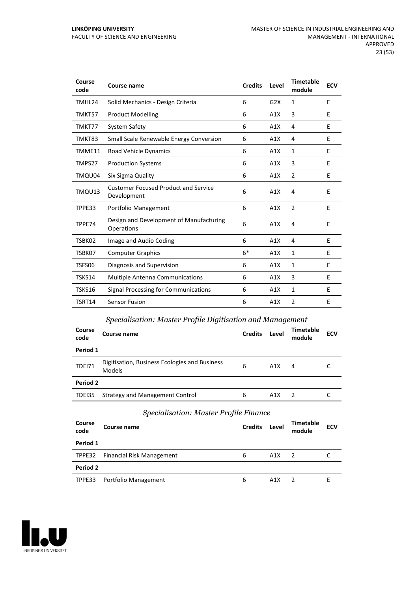| Course<br>code | Course name                                                | <b>Credits</b> | Level | <b>Timetable</b><br>module | <b>ECV</b> |
|----------------|------------------------------------------------------------|----------------|-------|----------------------------|------------|
| TMHL24         | Solid Mechanics - Design Criteria                          | 6              | G2X   | 1                          | E          |
| TMKT57         | <b>Product Modelling</b>                                   | 6              | A1X   | 3                          | E          |
| TMKT77         | System Safety                                              | 6              | A1X   | 4                          | E          |
| TMKT83         | Small Scale Renewable Energy Conversion                    | 6              | A1X   | 4                          | E          |
| TMME11         | Road Vehicle Dynamics                                      | 6              | A1X   | $\mathbf{1}$               | E          |
| TMPS27         | <b>Production Systems</b>                                  | 6              | A1X   | 3                          | E          |
| TMQU04         | Six Sigma Quality                                          | 6              | A1X   | $\overline{2}$             | E          |
| TMQU13         | <b>Customer Focused Product and Service</b><br>Development | 6              | A1X   | 4                          | E          |
| TPPE33         | Portfolio Management                                       | 6              | A1X   | $\overline{2}$             | E          |
| TPPE74         | Design and Development of Manufacturing<br>Operations      | 6              | A1X   | 4                          | E          |
| TSBK02         | Image and Audio Coding                                     | 6              | A1X   | 4                          | E          |
| TSBK07         | <b>Computer Graphics</b>                                   | $6*$           | A1X   | 1                          | E          |
| TSFS06         | Diagnosis and Supervision                                  | 6              | A1X   | 1                          | E          |
| TSKS14         | <b>Multiple Antenna Communications</b>                     | 6              | A1X   | 3                          | E          |
| TSKS16         | Signal Processing for Communications                       | 6              | A1X   | 1                          | E          |
| TSRT14         | Sensor Fusion                                              | 6              | A1X   | $\overline{2}$             | E          |

## *Specialisation: Master Profile Digitisation and Management*

| Course<br>code | Course name                                             | <b>Credits</b> | Level | <b>Timetable</b><br>module | <b>ECV</b> |  |  |  |  |
|----------------|---------------------------------------------------------|----------------|-------|----------------------------|------------|--|--|--|--|
| Period 1       |                                                         |                |       |                            |            |  |  |  |  |
| <b>TDE171</b>  | Digitisation, Business Ecologies and Business<br>Models | 6              | A1X   | 4                          |            |  |  |  |  |
| Period 2       |                                                         |                |       |                            |            |  |  |  |  |
| TDEI35         | <b>Strategy and Management Control</b>                  | 6              | A1X   | -2                         |            |  |  |  |  |

## *Specialisation: Master Profile Finance*

| Course<br>code | Course name                      | <b>Credits</b> | Level | Timetable<br>module | <b>ECV</b> |  |  |  |
|----------------|----------------------------------|----------------|-------|---------------------|------------|--|--|--|
| Period 1       |                                  |                |       |                     |            |  |  |  |
| TPPE32         | <b>Financial Risk Management</b> | 6              | A1X   | $\overline{z}$      |            |  |  |  |
| Period 2       |                                  |                |       |                     |            |  |  |  |
| TPPE33         | Portfolio Management             | 6              | A1X   |                     |            |  |  |  |

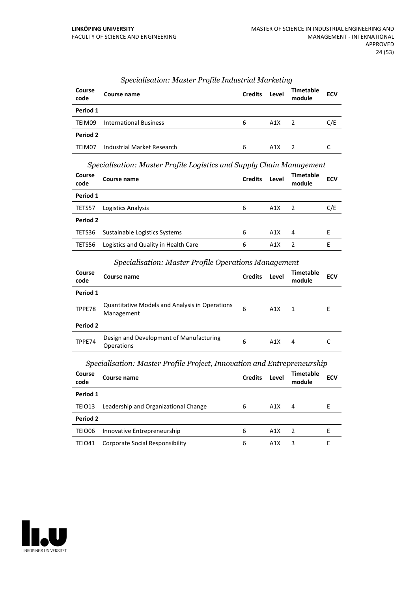| Course<br>code | Course name                   | <b>Credits</b> | Level            | <b>Timetable</b><br>module | <b>ECV</b> |
|----------------|-------------------------------|----------------|------------------|----------------------------|------------|
| Period 1       |                               |                |                  |                            |            |
| TEIM09         | <b>International Business</b> | 6              | A1X              | 2                          | C/E        |
| Period 2       |                               |                |                  |                            |            |
| TEIM07         | Industrial Market Research    | 6              | A <sub>1</sub> X |                            |            |

#### *Specialisation: Master Profile Industrial Marketing*

*Specialisation: Master Profile Logistics and Supply Chain Management*

| Course<br>code | Course name                          | <b>Credits</b> | Level | <b>Timetable</b><br>module | <b>ECV</b> |
|----------------|--------------------------------------|----------------|-------|----------------------------|------------|
| Period 1       |                                      |                |       |                            |            |
| TETS57         | Logistics Analysis                   | 6              | A1X   | $\overline{2}$             | C/E        |
| Period 2       |                                      |                |       |                            |            |
| TETS36         | Sustainable Logistics Systems        | 6              | A1X   | 4                          | F          |
| TETS56         | Logistics and Quality in Health Care | 6              | A1X   | 2                          | E          |

## *Specialisation: Master Profile Operations Management*

| Course<br>code | Course name                                                         | <b>Credits</b> | Level | Timetable<br>module | <b>ECV</b> |
|----------------|---------------------------------------------------------------------|----------------|-------|---------------------|------------|
| Period 1       |                                                                     |                |       |                     |            |
| TPPE78         | <b>Quantitative Models and Analysis in Operations</b><br>Management | 6              | A1X   | $\mathbf 1$         | E          |
| Period 2       |                                                                     |                |       |                     |            |
| TPPE74         | Design and Development of Manufacturing<br>Operations               | 6              | A1X   | 4                   |            |

*Specialisation: Master Profile Project, Innovation and Entrepreneurship*

| <b>Course</b><br>code | Course name                          | <b>Credits</b> | Level            | <b>Timetable</b><br>module | <b>ECV</b> |
|-----------------------|--------------------------------------|----------------|------------------|----------------------------|------------|
| Period 1              |                                      |                |                  |                            |            |
| TEIO13                | Leadership and Organizational Change | 6              | A1X              | 4                          | F.         |
| Period 2              |                                      |                |                  |                            |            |
| TEIO06                | Innovative Entrepreneurship          | 6              | A <sub>1</sub> X | 2                          |            |
| TEIO41                | Corporate Social Responsibility      | 6              | A1X              | 3                          | F          |

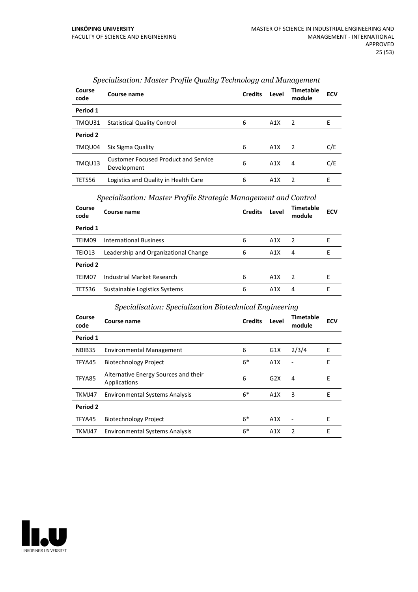| Course<br>code | Course name                                                | <b>Credits</b> | Level | Timetable<br>module | <b>ECV</b> |
|----------------|------------------------------------------------------------|----------------|-------|---------------------|------------|
| Period 1       |                                                            |                |       |                     |            |
| TMQU31         | <b>Statistical Quality Control</b>                         | 6              | A1X   | $\overline{2}$      | Е          |
| Period 2       |                                                            |                |       |                     |            |
| TMQU04         | Six Sigma Quality                                          | 6              | A1X   | $\overline{2}$      | C/E        |
| TMQU13         | <b>Customer Focused Product and Service</b><br>Development | 6              | A1X   | 4                   | C/E        |
| TETS56         | Logistics and Quality in Health Care                       | 6              | A1X   | $\mathcal{P}$       | E          |

## *Specialisation: Master Profile Quality Technology and Management*

#### *Specialisation: Master Profile Strategic Management and Control*

| Course<br>code | Course name                          | <b>Credits</b> | Level | <b>Timetable</b><br>module | <b>ECV</b> |
|----------------|--------------------------------------|----------------|-------|----------------------------|------------|
| Period 1       |                                      |                |       |                            |            |
| TEIM09         | <b>International Business</b>        | 6              | A1X   | $\overline{2}$             | E          |
| TEIO13         | Leadership and Organizational Change | 6              | A1X   | 4                          | Е          |
| Period 2       |                                      |                |       |                            |            |
| TEIM07         | Industrial Market Research           | 6              | A1X   | $\overline{2}$             | Е          |
| TETS36         | Sustainable Logistics Systems        | 6              | A1X   | 4                          | F          |

## *Specialisation: Specialization Biotechnical Engineering*

| Course<br>code | Course name                                          | <b>Credits</b> | Level | <b>Timetable</b><br>module | <b>ECV</b> |
|----------------|------------------------------------------------------|----------------|-------|----------------------------|------------|
| Period 1       |                                                      |                |       |                            |            |
| NBIB35         | <b>Environmental Management</b>                      | 6              | G1X   | 2/3/4                      | Ε          |
| TFYA45         | <b>Biotechnology Project</b>                         | $6*$           | A1X   | $\overline{\phantom{a}}$   | E          |
| TFYA85         | Alternative Energy Sources and their<br>Applications | 6              | G2X   | $\overline{4}$             | Е          |
| TKMJ47         | <b>Environmental Systems Analysis</b>                | $6*$           | A1X   | 3                          | Е          |
| Period 2       |                                                      |                |       |                            |            |
| TFYA45         | <b>Biotechnology Project</b>                         | $6*$           | A1X   |                            | Е          |
| TKMJ47         | <b>Environmental Systems Analysis</b>                | $6*$           | A1X   | 2                          | E          |

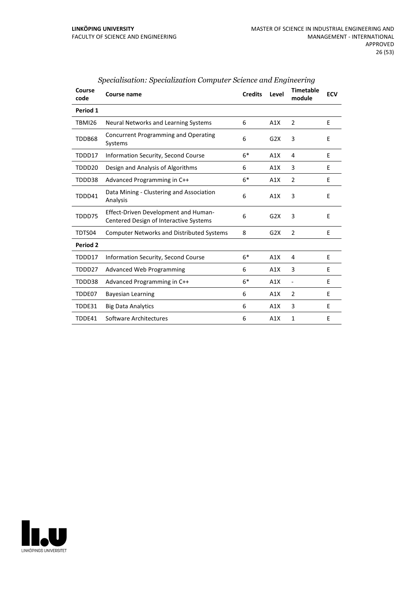| Course<br>code | Course name                                                                           | <b>Credits</b> | Level | <b>Timetable</b><br>module   | <b>ECV</b> |
|----------------|---------------------------------------------------------------------------------------|----------------|-------|------------------------------|------------|
| Period 1       |                                                                                       |                |       |                              |            |
| <b>TBMI26</b>  | Neural Networks and Learning Systems                                                  | 6              | A1X   | 2                            | E          |
| TDDB68         | <b>Concurrent Programming and Operating</b><br>Systems                                | 6              | G2X   | 3                            | E          |
| TDDD17         | Information Security, Second Course                                                   | $6*$           | A1X   | 4                            | E          |
| TDDD20         | Design and Analysis of Algorithms                                                     | 6              | A1X   | 3                            | E          |
| TDDD38         | Advanced Programming in C++                                                           | $6*$           | A1X   | $\overline{2}$               | E          |
| TDDD41         | Data Mining - Clustering and Association<br>Analysis                                  | 6              | A1X   | 3                            | E          |
| TDDD75         | <b>Effect-Driven Development and Human-</b><br>Centered Design of Interactive Systems | 6              | G2X   | 3                            | E          |
| TDTS04         | <b>Computer Networks and Distributed Systems</b>                                      | 8              | G2X   | 2                            | E          |
| Period 2       |                                                                                       |                |       |                              |            |
| TDDD17         | <b>Information Security, Second Course</b>                                            | $6*$           | A1X   | 4                            | E          |
| TDDD27         | <b>Advanced Web Programming</b>                                                       | 6              | A1X   | 3                            | E          |
| TDDD38         | Advanced Programming in C++                                                           | $6*$           | A1X   | $\qquad \qquad \blacksquare$ | E          |
| TDDE07         | <b>Bayesian Learning</b>                                                              | 6              | A1X   | 2                            | E          |
| TDDE31         | <b>Big Data Analytics</b>                                                             | 6              | A1X   | 3                            | E          |
| TDDE41         | Software Architectures                                                                | 6              | A1X   | $\mathbf{1}$                 | E          |

## *Specialisation: Specialization Computer Science and Engineering*

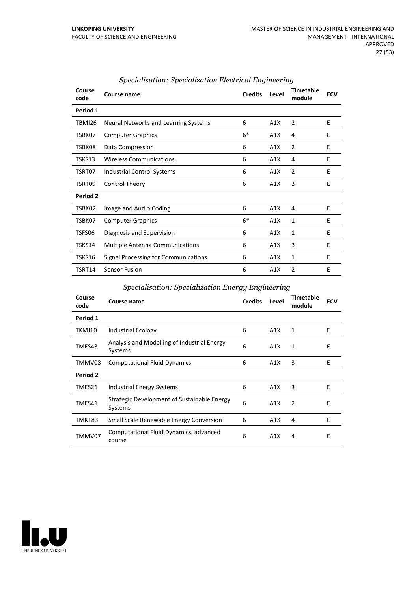| Course<br>code | <b>Course name</b>                     | <b>Credits</b> | Level | <b>Timetable</b><br>module | <b>ECV</b> |
|----------------|----------------------------------------|----------------|-------|----------------------------|------------|
| Period 1       |                                        |                |       |                            |            |
| TBMI26         | Neural Networks and Learning Systems   | 6              | A1X   | $\overline{2}$             | E          |
| TSBK07         | <b>Computer Graphics</b>               | $6*$           | A1X   | 4                          | E          |
| TSBK08         | Data Compression                       | 6              | A1X   | $\overline{2}$             | E          |
| TSKS13         | <b>Wireless Communications</b>         | 6              | A1X   | 4                          | E          |
| TSRT07         | Industrial Control Systems             | 6              | A1X   | $\overline{2}$             | E          |
| TSRT09         | Control Theory                         | 6              | A1X   | 3                          | E          |
| Period 2       |                                        |                |       |                            |            |
| TSBK02         | Image and Audio Coding                 | 6              | A1X   | 4                          | E          |
| TSBK07         | <b>Computer Graphics</b>               | $6*$           | A1X   | 1                          | E          |
| TSFS06         | Diagnosis and Supervision              | 6              | A1X   | 1                          | E          |
| TSKS14         | <b>Multiple Antenna Communications</b> | 6              | A1X   | 3                          | E          |
| TSKS16         | Signal Processing for Communications   | 6              | A1X   | 1                          | E          |
| TSRT14         | <b>Sensor Fusion</b>                   | 6              | A1X   | 2                          | E          |

## *Specialisation: Specialization Electrical Engineering*

## *Specialisation: Specialization Energy Engineering*

| Course<br>code | Course name                                            | <b>Credits</b> | Level | <b>Timetable</b><br>module | <b>ECV</b> |
|----------------|--------------------------------------------------------|----------------|-------|----------------------------|------------|
| Period 1       |                                                        |                |       |                            |            |
| TKMJ10         | Industrial Ecology                                     | 6              | A1X   | 1                          | E          |
| TMES43         | Analysis and Modelling of Industrial Energy<br>Systems | 6              | A1X   | $\mathbf{1}$               | E          |
| TMMV08         | <b>Computational Fluid Dynamics</b>                    | 6              | A1X   | 3                          | E          |
| Period 2       |                                                        |                |       |                            |            |
| TMES21         | Industrial Energy Systems                              | 6              | A1X   | 3                          | E          |
| TMES41         | Strategic Development of Sustainable Energy<br>Systems | 6              | A1X   | 2                          | E          |
| TMKT83         | <b>Small Scale Renewable Energy Conversion</b>         | 6              | A1X   | 4                          | E          |
| TMMV07         | Computational Fluid Dynamics, advanced<br>course       | 6              | A1X   | 4                          | E          |

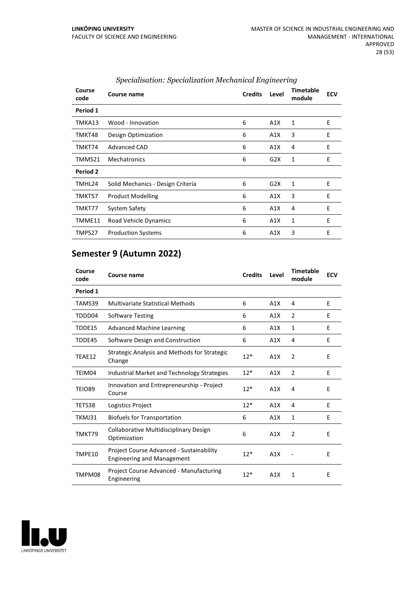| Course<br>code | Course name                       | <b>Credits</b> | Level | <b>Timetable</b><br>module | <b>ECV</b> |
|----------------|-----------------------------------|----------------|-------|----------------------------|------------|
| Period 1       |                                   |                |       |                            |            |
| TMKA13         | Wood - Innovation                 | 6              | A1X   | 1                          | Ε          |
| TMKT48         | Design Optimization               | 6              | A1X   | 3                          | E          |
| TMKT74         | Advanced CAD                      | 6              | A1X   | 4                          | E          |
| TMMS21         | Mechatronics                      | 6              | G2X   | 1                          | E          |
| Period 2       |                                   |                |       |                            |            |
| TMHL24         | Solid Mechanics - Design Criteria | 6              | G2X   | 1                          | E          |
| TMKT57         | <b>Product Modelling</b>          | 6              | A1X   | 3                          | E          |
| TMKT77         | System Safety                     | 6              | A1X   | 4                          | E          |
| TMME11         | Road Vehicle Dynamics             | 6              | A1X   | 1                          | E          |
| TMPS27         | <b>Production Systems</b>         | 6              | A1X   | 3                          | E          |
|                |                                   |                |       |                            |            |

## *Specialisation: Specialization Mechanical Engineering*

## **Semester 9 (Autumn 2022)**

| Course<br>code | Course name                                                                   | <b>Credits</b> | Level | <b>Timetable</b><br>module | <b>ECV</b> |
|----------------|-------------------------------------------------------------------------------|----------------|-------|----------------------------|------------|
| Period 1       |                                                                               |                |       |                            |            |
| TAMS39         | <b>Multivariate Statistical Methods</b>                                       | 6              | A1X   | 4                          | E          |
| TDDD04         | <b>Software Testing</b>                                                       | 6              | A1X   | 2                          | E          |
| TDDE15         | <b>Advanced Machine Learning</b>                                              | 6              | A1X   | $\mathbf{1}$               | F          |
| TDDE45         | Software Design and Construction                                              | 6              | A1X   | 4                          | E          |
| TEAE12         | <b>Strategic Analysis and Methods for Strategic</b><br>Change                 | $12*$          | A1X   | 2                          | E          |
| TEIM04         | <b>Industrial Market and Technology Strategies</b>                            | $12*$          | A1X   | $\overline{2}$             | E          |
| TEIO89         | Innovation and Entrepreneurship - Project<br>Course                           | $12*$          | A1X   | 4                          | E          |
| TETS38         | Logistics Project                                                             | $12*$          | A1X   | 4                          | E          |
| TKMJ31         | <b>Biofuels for Transportation</b>                                            | 6              | A1X   | $\mathbf{1}$               | E          |
| TMKT79         | Collaborative Multidisciplinary Design<br>Optimization                        | 6              | A1X   | 2                          | E          |
| TMPE10         | Project Course Advanced - Sustainability<br><b>Engineering and Management</b> | $12*$          | A1X   |                            | E          |
| TMPM08         | Project Course Advanced - Manufacturing<br>Engineering                        | $12*$          | A1X   | 1                          | E          |

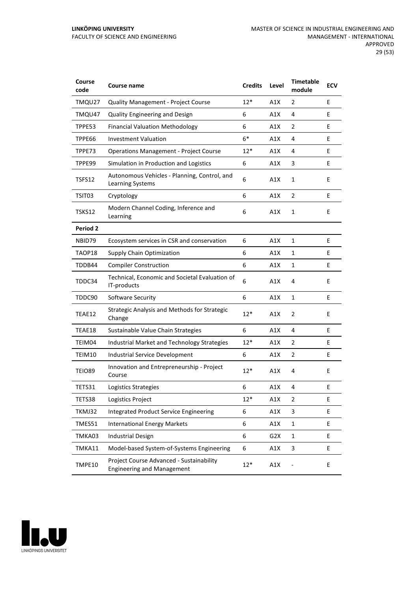| Course<br>code  | Course name                                                                   | <b>Credits</b> | Level | <b>Timetable</b><br>module | <b>ECV</b> |
|-----------------|-------------------------------------------------------------------------------|----------------|-------|----------------------------|------------|
| TMQU27          | <b>Quality Management - Project Course</b>                                    | $12*$          | A1X   | 2                          | E          |
| TMQU47          | Quality Engineering and Design                                                | 6              | A1X   | 4                          | E          |
| TPPE53          | <b>Financial Valuation Methodology</b>                                        | 6              | A1X   | 2                          | E          |
| TPPE66          | <b>Investment Valuation</b>                                                   | $6*$           | A1X   | 4                          | E          |
| TPPE73          | <b>Operations Management - Project Course</b>                                 | $12*$          | A1X   | 4                          | E          |
| TPPE99          | Simulation in Production and Logistics                                        | 6              | A1X   | 3                          | E          |
| TSFS12          | Autonomous Vehicles - Planning, Control, and<br>Learning Systems              | 6              | A1X   | $\mathbf{1}$               | E          |
| TSIT03          | Cryptology                                                                    | 6              | A1X   | 2                          | E          |
| TSKS12          | Modern Channel Coding, Inference and<br>Learning                              | 6              | A1X   | 1                          | E          |
| <b>Period 2</b> |                                                                               |                |       |                            |            |
| NBID79          | Ecosystem services in CSR and conservation                                    | 6              | A1X   | 1                          | E          |
| TAOP18          | Supply Chain Optimization                                                     | 6              | A1X   | 1                          | E          |
| TDDB44          | <b>Compiler Construction</b>                                                  | 6              | A1X   | 1                          | E          |
| TDDC34          | Technical, Economic and Societal Evaluation of<br>IT-products                 | 6              | A1X   | 4                          | E          |
| TDDC90          | Software Security                                                             | 6              | A1X   | 1                          | E          |
| TEAE12          | Strategic Analysis and Methods for Strategic<br>Change                        | $12*$          | A1X   | 2                          | E          |
| TEAE18          | Sustainable Value Chain Strategies                                            | 6              | A1X   | 4                          | E          |
| TEIM04          | Industrial Market and Technology Strategies                                   | $12*$          | A1X   | 2                          | E          |
| TEIM10          | <b>Industrial Service Development</b>                                         | 6              | A1X   | 2                          | E          |
| TEIO89          | Innovation and Entrepreneurship - Project<br>Course                           | $12*$          | A1X   | 4                          | E          |
| TETS31          | Logistics Strategies                                                          | 6              | A1X   | 4                          | E          |
| TETS38          | Logistics Project                                                             | $12*$          | A1X   | 2                          | E          |
| TKMJ32          | <b>Integrated Product Service Engineering</b>                                 | 6              | A1X   | 3                          | E          |
| TMES51          | <b>International Energy Markets</b>                                           | 6              | A1X   | $\mathbf 1$                | E          |
| TMKA03          | <b>Industrial Design</b>                                                      | 6              | G2X   | 1                          | E.         |
| TMKA11          | Model-based System-of-Systems Engineering                                     | 6              | A1X   | 3                          | E          |
| TMPE10          | Project Course Advanced - Sustainability<br><b>Engineering and Management</b> | $12*$          | A1X   |                            | E          |

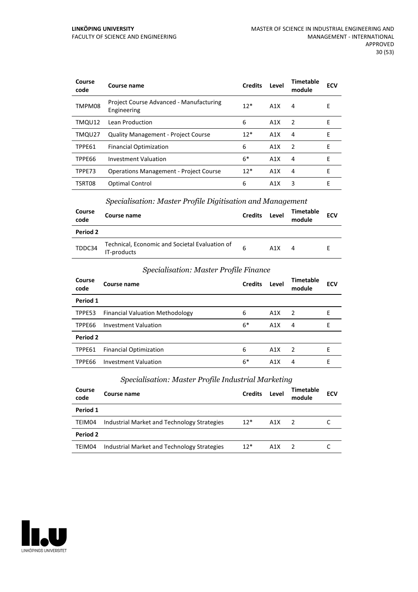| Course<br>code | Course name                                            | <b>Credits</b> | Level            | Timetable<br>module | <b>ECV</b> |
|----------------|--------------------------------------------------------|----------------|------------------|---------------------|------------|
| TMPM08         | Project Course Advanced - Manufacturing<br>Engineering | $12*$          | A1X              | 4                   | F          |
| TMQU12         | Lean Production                                        | 6              | A1X              | $\overline{z}$      | E          |
| TMQU27         | <b>Quality Management - Project Course</b>             | $12*$          | A1X              | 4                   | F          |
| TPPE61         | <b>Financial Optimization</b>                          | 6              | A1X              | $\mathcal{P}$       | F          |
| TPPE66         | <b>Investment Valuation</b>                            | $6*$           | A1X              | 4                   | F          |
| TPPE73         | <b>Operations Management - Project Course</b>          | $12*$          | A <sub>1</sub> X | 4                   | E          |
| TSRT08         | Optimal Control                                        | 6              | A1X              | 3                   | Е          |

## *Specialisation: Master Profile Digitisation and Management*

| Course<br>code | Course name                                                   | <b>Credits</b> | Level | Timetable<br>module | <b>ECV</b> |
|----------------|---------------------------------------------------------------|----------------|-------|---------------------|------------|
| Period 2       |                                                               |                |       |                     |            |
| TDDC34         | Technical, Economic and Societal Evaluation of<br>IT-products | 6              | A1X   | 4                   |            |

## *Specialisation: Master Profile Finance*

| Course<br>code | Course name                            | <b>Credits</b> | Level | <b>Timetable</b><br>module | <b>ECV</b> |
|----------------|----------------------------------------|----------------|-------|----------------------------|------------|
| Period 1       |                                        |                |       |                            |            |
| TPPE53         | <b>Financial Valuation Methodology</b> | 6              | A1X   | $\overline{2}$             | Е          |
| TPPE66         | Investment Valuation                   | $6*$           | A1X   | 4                          | Е          |
| Period 2       |                                        |                |       |                            |            |
| TPPE61         | <b>Financial Optimization</b>          | 6              | A1X   | $\overline{2}$             | F          |
| TPPE66         | Investment Valuation                   | $6*$           | A1X   | 4                          | F          |

## *Specialisation: Master Profile Industrial Marketing*

| Course<br>code | Course name                                 | <b>Credits</b> | Level | Timetable<br>module | <b>ECV</b> |
|----------------|---------------------------------------------|----------------|-------|---------------------|------------|
| Period 1       |                                             |                |       |                     |            |
| TEIM04         | Industrial Market and Technology Strategies | $12*$          | A1X   | $\overline{2}$      |            |
| Period 2       |                                             |                |       |                     |            |
| TEIM04         | Industrial Market and Technology Strategies | $12*$          | A1X   |                     |            |

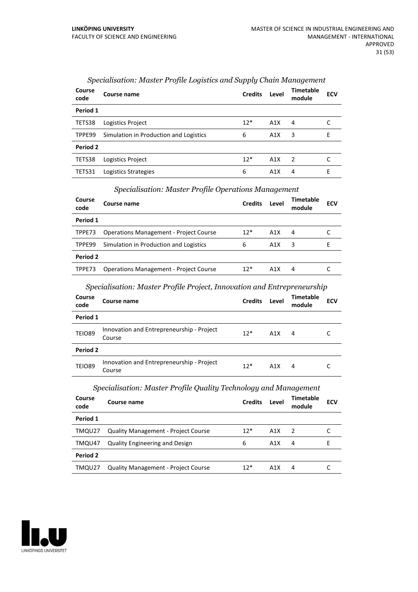| Course<br>code | Course name                            | <b>Credits</b> | Level | <b>Timetable</b><br>module | <b>ECV</b> |
|----------------|----------------------------------------|----------------|-------|----------------------------|------------|
| Period 1       |                                        |                |       |                            |            |
| TETS38         | Logistics Project                      | $12*$          | A1X   | 4                          |            |
| TPPE99         | Simulation in Production and Logistics | 6              | A1X   | 3                          | E          |
| Period 2       |                                        |                |       |                            |            |
| TETS38         | Logistics Project                      | $12*$          | A1X   | $\overline{2}$             |            |
| TETS31         | Logistics Strategies                   | 6              | A1X   | 4                          | Е          |

## *Specialisation: Master Profile Logistics and Supply Chain Management*

#### *Specialisation: Master Profile Operations Management*

| Course<br>code | Course name                                   | <b>Credits</b> | Level | <b>Timetable</b><br>module | <b>ECV</b> |
|----------------|-----------------------------------------------|----------------|-------|----------------------------|------------|
| Period 1       |                                               |                |       |                            |            |
| TPPE73         | <b>Operations Management - Project Course</b> | $12*$          | A1X   | 4                          |            |
| TPPE99         | Simulation in Production and Logistics        | 6              | A1X   | 3                          | н          |
| Period 2       |                                               |                |       |                            |            |
| TPPE73         | <b>Operations Management - Project Course</b> | $12*$          | A1X   | 4                          |            |

## *Specialisation: Master Profile Project, Innovation and Entrepreneurship*

| Course<br>code | Course name                                         | <b>Credits</b> | Level | <b>Timetable</b><br>module | <b>ECV</b> |
|----------------|-----------------------------------------------------|----------------|-------|----------------------------|------------|
| Period 1       |                                                     |                |       |                            |            |
| <b>TEIO89</b>  | Innovation and Entrepreneurship - Project<br>Course | $12*$          | A1X   | 4                          |            |
| Period 2       |                                                     |                |       |                            |            |
| <b>TEIO89</b>  | Innovation and Entrepreneurship - Project<br>Course | $12*$          | A1X   | 4                          |            |

#### *Specialisation: Master Profile Quality Technology and Management*

| Course<br>code  | Course name                                | <b>Credits</b> | Level | Timetable<br>module | <b>ECV</b> |
|-----------------|--------------------------------------------|----------------|-------|---------------------|------------|
| Period 1        |                                            |                |       |                     |            |
| TMQU27          | <b>Quality Management - Project Course</b> | $12*$          | A1X   | 2                   |            |
| TMQU47          | <b>Quality Engineering and Design</b>      | 6              | A1X   | 4                   |            |
| <b>Period 2</b> |                                            |                |       |                     |            |
| TMQU27          | <b>Quality Management - Project Course</b> | $12*$          | A1X   | 4                   |            |

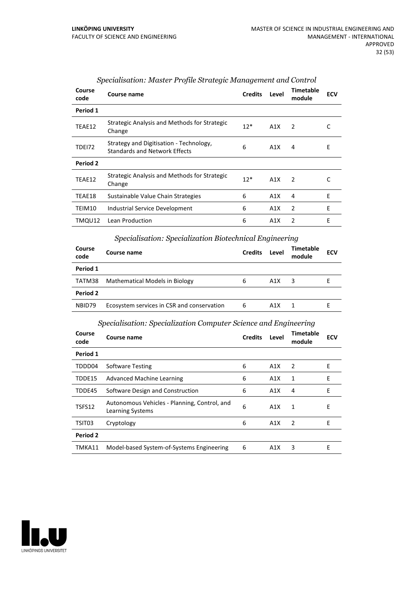| Course<br>code | Course name                                                                     | <b>Credits</b> | Level | <b>Timetable</b><br>module | <b>ECV</b> |
|----------------|---------------------------------------------------------------------------------|----------------|-------|----------------------------|------------|
| Period 1       |                                                                                 |                |       |                            |            |
| TEAE12         | Strategic Analysis and Methods for Strategic<br>Change                          | $12*$          | A1X   | 2                          |            |
| <b>TDE172</b>  | Strategy and Digitisation - Technology,<br><b>Standards and Network Effects</b> | 6              | A1X   | 4                          | Е          |
| Period 2       |                                                                                 |                |       |                            |            |
| TEAE12         | Strategic Analysis and Methods for Strategic<br>Change                          | $12*$          | A1X   | $\mathcal{P}$              | C          |
| TEAE18         | Sustainable Value Chain Strategies                                              | 6              | A1X   | 4                          | E          |
| TEIM10         | Industrial Service Development                                                  | 6              | A1X   | 2                          | E          |
| TMQU12         | Lean Production                                                                 | 6              | A1X   | $\mathfrak{p}$             | E          |

## *Specialisation: Master Profile Strategic Management and Control*

## *Specialisation: Specialization Biotechnical Engineering*

| Course<br>code | Course name                                | <b>Credits</b> | Level | <b>Timetable</b><br>module | <b>ECV</b> |
|----------------|--------------------------------------------|----------------|-------|----------------------------|------------|
| Period 1       |                                            |                |       |                            |            |
| TATM38         | Mathematical Models in Biology             | 6              | A1X   | 3                          |            |
| Period 2       |                                            |                |       |                            |            |
| NBID79         | Ecosystem services in CSR and conservation | 6              | A1X   |                            |            |

## *Specialisation: Specialization Computer Science and Engineering*

| Course name                                                      | <b>Credits</b> | Level | <b>Timetable</b><br>module | <b>ECV</b> |
|------------------------------------------------------------------|----------------|-------|----------------------------|------------|
|                                                                  |                |       |                            |            |
| <b>Software Testing</b>                                          | 6              | A1X   | 2                          | E          |
| Advanced Machine Learning                                        | 6              | A1X   | 1                          | E          |
| Software Design and Construction                                 | 6              | A1X   | 4                          | E          |
| Autonomous Vehicles - Planning, Control, and<br>Learning Systems | 6              | A1X   | 1                          | E          |
| Cryptology                                                       | 6              | A1X   | 2                          | E          |
|                                                                  |                |       |                            |            |
| Model-based System-of-Systems Engineering                        | 6              | A1X   | 3                          | F          |
|                                                                  |                |       |                            |            |

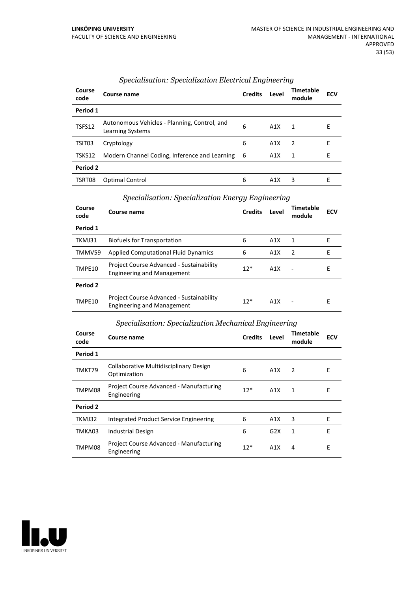| Course<br>code | Course name                                                      | <b>Credits</b> | Level | <b>Timetable</b><br>module | <b>ECV</b> |
|----------------|------------------------------------------------------------------|----------------|-------|----------------------------|------------|
| Period 1       |                                                                  |                |       |                            |            |
| TSFS12         | Autonomous Vehicles - Planning, Control, and<br>Learning Systems | 6              | A1X   | 1                          | E          |
| TSIT03         | Cryptology                                                       | 6              | A1X   | $\overline{2}$             | E          |
| TSKS12         | Modern Channel Coding, Inference and Learning                    | - 6            | A1X   | 1                          | F          |
| Period 2       |                                                                  |                |       |                            |            |
| TSRT08         | <b>Optimal Control</b>                                           | 6              | A1X   | 3                          | F          |

## *Specialisation: Specialization Electrical Engineering*

#### *Specialisation: Specialization Energy Engineering*

| Course<br>code | Course name                                                                   | <b>Credits</b> | Level | <b>Timetable</b><br>module | <b>ECV</b> |
|----------------|-------------------------------------------------------------------------------|----------------|-------|----------------------------|------------|
| Period 1       |                                                                               |                |       |                            |            |
| TKMJ31         | <b>Biofuels for Transportation</b>                                            | 6              | A1X   | 1                          | Е          |
| TMMV59         | <b>Applied Computational Fluid Dynamics</b>                                   | 6              | A1X   | 2                          | Е          |
| TMPE10         | Project Course Advanced - Sustainability<br><b>Engineering and Management</b> | $12*$          | A1X   |                            | Е          |
| Period 2       |                                                                               |                |       |                            |            |
| TMPE10         | Project Course Advanced - Sustainability<br><b>Engineering and Management</b> | $12*$          | A1X   |                            | E          |

## *Specialisation: Specialization Mechanical Engineering*

| Course<br>code | Course name                                            | <b>Credits</b> | Level | <b>Timetable</b><br>module | <b>ECV</b> |
|----------------|--------------------------------------------------------|----------------|-------|----------------------------|------------|
| Period 1       |                                                        |                |       |                            |            |
| TMKT79         | Collaborative Multidisciplinary Design<br>Optimization | 6              | A1X   | 2                          | Ε          |
| TMPM08         | Project Course Advanced - Manufacturing<br>Engineering | $12*$          | A1X   | 1                          | Е          |
| Period 2       |                                                        |                |       |                            |            |
| TKMJ32         | Integrated Product Service Engineering                 | 6              | A1X   | 3                          | E          |
| TMKA03         | <b>Industrial Design</b>                               | 6              | G2X   | 1                          | E          |
| TMPM08         | Project Course Advanced - Manufacturing<br>Engineering | $12*$          | A1X   | 4                          | Е          |

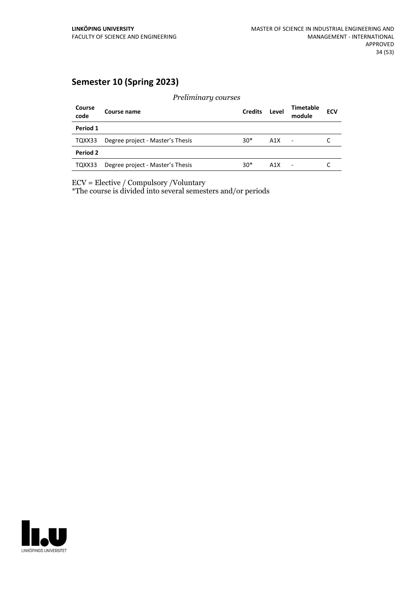## **Semester 10 (Spring 2023)**

*Preliminary courses* **Course code Course name Credits Level Timetable module ECV Period 1** TQXX33 Degree project - Master's Thesis 30\* A1X - C **Period 2** TQXX33 Degree project - Master's Thesis 30\* A1X - C

ECV = Elective / Compulsory /Voluntary

\*The course is divided into several semesters and/or periods

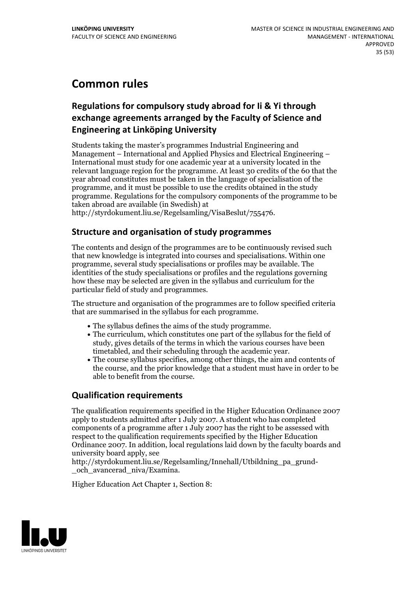## **Common rules**

## **Regulations for compulsorystudy abroad for Ii & Yi through exchange** agreements arranged by the Faculty of Science and **Engineering at Linköping University**

Students taking the master's programmes Industrial Engineering and Management – International and Applied Physics and Electrical Engineering – International must study for one academic year at a university located in the relevant language region for the programme. At least 30 credits of the 60 that the year abroad constitutes must be taken in the language of specialisation of the programme, and it must be possible to use the credits obtained in the study programme. Regulations for the compulsory components of the programme to be taken abroad are available (in Swedish) at

http://styrdokument.liu.se/Regelsamling/VisaBeslut/755476.

## **Structure and organisation of study programmes**

The contents and design of the programmes are to be continuously revised such that new knowledge is integrated into courses and specialisations. Within one programme, several study specialisations or profiles may be available. The identities of the study specialisations or profiles and the regulations governing how these may be selected are given in the syllabus and curriculum for the particular field of study and programmes.

The structure and organisation of the programmes are to follow specified criteria that are summarised in the syllabus for each programme.

- 
- The syllabus defines the aims of the study programme.<br>• The curriculum, which constitutes one part of the syllabus for the field of study, gives details of the terms in which the various courses have been timetabled, and their scheduling through the academic year.<br>• The course syllabus specifies, among other things, the aim and contents of
- the course, and the prior knowledge that a student must have in order to be able to benefit from the course.

## **Qualification requirements**

The qualification requirements specified in the Higher Education Ordinance 2007 apply to students admitted after 1 July 2007. A student who has completed components of a programme after 1 July 2007 has the right to be assessed with respect to the qualification requirements specified by the Higher Education Ordinance 2007. In addition, local regulations laid down by the faculty boards and university board apply, see

http://styrdokument.liu.se/Regelsamling/Innehall/Utbildning\_pa\_grund- \_och\_avancerad\_niva/Examina.

Higher Education Act Chapter 1, Section 8:

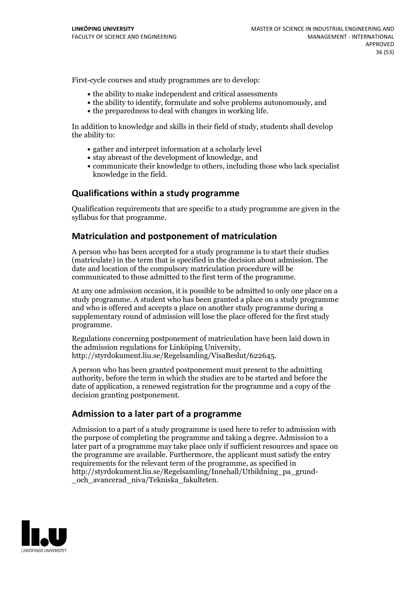First-cycle courses and study programmes are to develop:

- the ability to make independent and critical assessments
- the ability to identify, formulate and solve problems autonomously, and
- the preparedness to deal with changes in working life.

In addition to knowledge and skills in their field of study, students shall develop the ability to:

- gather and interpret information at a scholarly level
- stay abreast of the development of knowledge, and
- communicate their knowledge to others, including those who lack specialist knowledge in the field.

## **Qualifications within a study programme**

Qualification requirements that are specific to a study programme are given in the syllabus for that programme.

## **Matriculation and postponement of matriculation**

A person who has been accepted for a study programme is to start their studies (matriculate) in the term that is specified in the decision about admission. The date and location of the compulsory matriculation procedure will be communicated to those admitted to the first term of the programme.

At any one admission occasion, it is possible to be admitted to only one place on a study programme. A student who has been granted a place on a study programme and who is offered and accepts a place on another study programme during a supplementary round of admission will lose the place offered for the first study programme.

Regulations concerning postponement of matriculation have been laid down in the admission regulations for Linköping University, http://styrdokument.liu.se/Regelsamling/VisaBeslut/622645.

A person who has been granted postponement must present to the admitting authority, before the term in which the studies are to be started and before the date of application, a renewed registration for the programme and a copy of the decision granting postponement.

## **Admission to a later part of a programme**

Admission to a part of a study programme is used here to refer to admission with the purpose of completing the programme and taking a degree. Admission to a later part of a programme may take place only if sufficient resources and space on the programme are available. Furthermore, the applicant must satisfy the entry requirements for the relevant term of the programme, as specified in http://styrdokument.liu.se/Regelsamling/Innehall/Utbildning\_pa\_grund- \_och\_avancerad\_niva/Tekniska\_fakulteten.

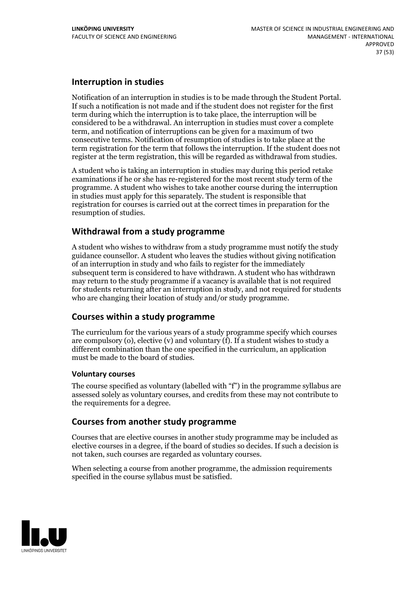## **Interruption in studies**

Notification of an interruption in studies is to be made through the Student Portal. If such <sup>a</sup> notification is not made and if the student does not register for the first term during which the interruption is to take place, the interruption will be considered to be a withdrawal. An interruption in studies must cover a complete term, and notification of interruptions can be given for a maximum of two consecutive terms. Notification of resumption of studies is to take place at the term registration for the term that follows the interruption. If the student does not register at the term registration, this will be regarded as withdrawal from studies.

A student who is taking an interruption in studies may during this period retake examinations if he or she has re-registered for the most recent study term of the programme. A student who wishes to take another course during the interruption in studies must apply for this separately. The student is responsible that registration for courses is carried outat the correct times in preparation for the resumption of studies.

## **Withdrawal from a study programme**

A student who wishes to withdraw from a study programme must notify the study guidance counsellor. A student who leaves the studies without giving notification of an interruption in study and who fails to register for the immediately subsequent term is considered to have withdrawn. A student who has withdrawn may return to the study programme if a vacancy is available that is not required for students returning after an interruption in study, and notrequired for students who are changing their location of study and/or study programme.

## **Courses within a study programme**

The curriculum for the various years of a study programme specify which courses are compulsory (o), elective (v) and voluntary (f). If a student wishes to study a different combination than the one specified in the curriculum, an application must be made to the board of studies.

#### **Voluntarycourses**

The course specified as voluntary (labelled with "f") in the programme syllabus are assessed solely as voluntary courses, and credits from these may not contribute to the requirements for a degree.

## **Courses from another study programme**

Courses that are elective courses in another study programme may be included as elective courses in a degree, if the board of studies so decides. If such a decision is not taken, such courses are regarded as voluntary courses.

When selecting a course from another programme, the admission requirements specified in the course syllabus must be satisfied.

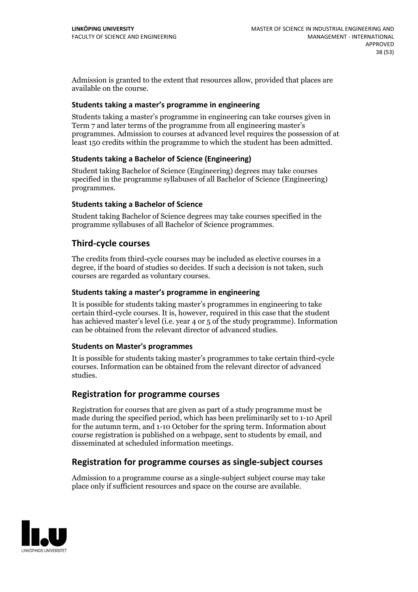Admission is granted to the extent that resources allow, provided that places are available on the course.

#### **Students taking a master's programme in engineering**

Students taking a master's programme in engineering can take courses given in Term 7 and later terms of the programme from all engineering master's programmes. Admission to courses at advanced level requires the possession of at least 150 credits within the programme to which the student has been admitted.

## **Students taking a Bachelor of Science (Engineering)**

Student taking Bachelor of Science (Engineering) degrees may take courses specified in the programme syllabuses of all Bachelor of Science (Engineering) programmes.

## **Students taking a Bachelor of Science**

Student taking Bachelor of Science degrees may take courses specified in the programme syllabuses of all Bachelor of Science programmes.

## **Third-cycle courses**

The credits from third-cycle courses may be included as elective courses in a degree, if the board of studies so decides. If such a decision is not taken, such courses are regarded as voluntary courses.

#### **Students taking a master's programme in engineering**

It is possible for students taking master's programmes in engineering to take certain third-cycle courses. It is, however, required in this case that the student has achieved master's level (i.e. year 4 or 5 of the study programme). Information can be obtained from the relevant director of advanced studies.

#### **Students on Master's programmes**

It is possible for students taking master's programmes to take certain third-cycle courses. Information can be obtained from the relevant director of advanced studies.

## **Registration for programme courses**

Registration for courses that are given as part of a study programme must be made during the specified period, which has been preliminarily set to 1-10 April for the autumn term, and 1-10 October for the spring term. Information about course registration is published on a webpage, sent to students by email, and disseminated at scheduled information meetings.

## **Registration for programme courses as single-subject courses**

Admission to a programme course as a single-subject subject course may take place only if sufficient resources and space on the course are available.

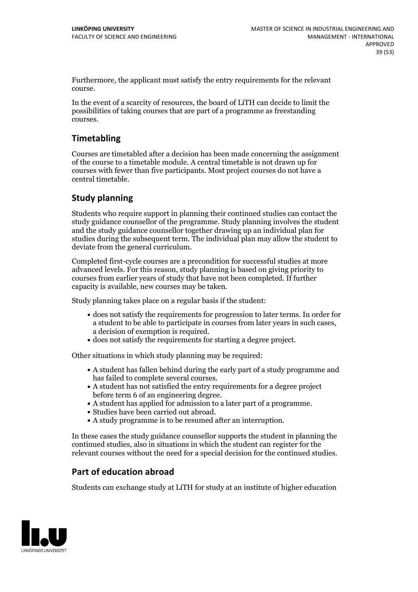Furthermore, the applicant must satisfy the entry requirements for the relevant course.

In the event of a scarcity of resources, the board of LiTH can decide to limit the possibilities of taking courses that are part of a programme as freestanding courses.

## **Timetabling**

Courses are timetabled after a decision has been made concerning the assignment of the course to a timetable module. A central timetable is not drawn up for courses with fewer than five participants. Most project courses do not have a central timetable.

## **Study planning**

Students who require support in planning their continued studies can contact the study guidance counsellor of the programme. Study planning involves the student and the study guidance counsellor together drawing up an individual plan for studies during the subsequent term. The individual plan may allow the student to deviate from the general curriculum.

Completed first-cycle courses are a precondition for successful studies at more advanced levels. For this reason, study planning is based on giving priority to courses from earlier years of study that have not been completed. If further capacity is available, new courses may be taken.

Study planning takes place on a regular basis if the student:

- does not satisfy the requirements for progression to later terms. In order for a student to be able to participate in courses from later years in such cases, a decision of exemption is required.<br>
• does not satisfy the requirements for starting a degree project.
- 

Other situations in which study planning may be required:

- A student has fallen behind during the early part of a study programme and has failed to complete several courses.<br>• A student has not satisfied the entry requirements for a degree project
- 
- before term 6 of an engineering degree.<br>
 A student has applied for admission to a later part of a programme.<br>
 Studies have been carried out abroad.<br>
 A study programme is to be resumed after an interruption.
- 
- 

In these cases the study guidance counsellor supports the student in planning the continued studies, also in situations in which the student can register for the relevant courses without the need for a special decision for the continued studies.

## **Part of education abroad**

Students can exchange study at LiTH for study at an institute of higher education

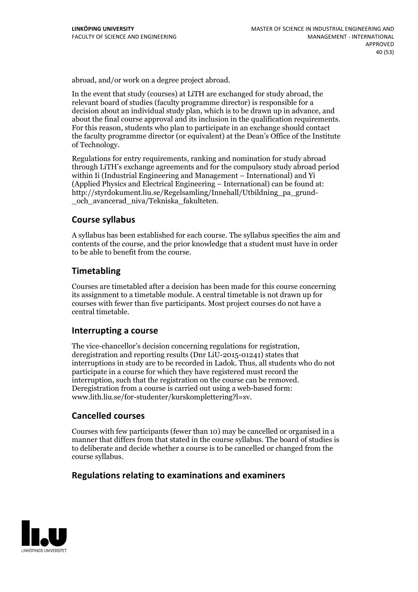abroad, and/or work on a degree project abroad.

In the event that study (courses) at LiTH are exchanged for study abroad, the relevant board of studies (faculty programme director) is responsible for a decision about an individual study plan, which is to be drawn up in advance, and about the final course approval and its inclusion in the qualification requirements. For this reason, students who plan to participate in an exchange should contact the faculty programme director (or equivalent) at the Dean's Office ofthe Institute of Technology.

Regulations for entry requirements, ranking and nomination for study abroad through LiTH's exchange agreements and for the compulsory study abroad period within Ii (Industrial Engineering and Management – International) and Yi (Applied Physics and Electrical Engineering – International) can be found at: http://styrdokument.liu.se/Regelsamling/Innehall/Utbildning\_pa\_grund- \_och\_avancerad\_niva/Tekniska\_fakulteten.

## **Course syllabus**

A syllabus has been established for each course. The syllabus specifies the aim and contents of the course, and the prior knowledge that a student must have in order to be able to benefit from the course.

## **Timetabling**

Courses are timetabled after a decision has been made for this course concerning its assignment to a timetable module. A central timetable is not drawn up for courses with fewer than five participants. Most project courses do not have a central timetable.

## **Interrupting a course**

The vice-chancellor's decision concerning regulations for registration, deregistration and reporting results (Dnr LiU-2015-01241) states that interruptions in study are to be recorded in Ladok. Thus, all students who do not participate in a course for which they have registered must record the interruption, such that the registration on the course can be removed. Deregistration from <sup>a</sup> course is carried outusing <sup>a</sup> web-based form: www.lith.liu.se/for-studenter/kurskomplettering?l=sv.

## **Cancelled courses**

Courses with few participants (fewer than 10) may be cancelled or organised in a manner that differs from that stated in the course syllabus. The board of studies is to deliberate and decide whether a course is to be cancelled orchanged from the course syllabus.

## **Regulations relatingto examinations and examiners**

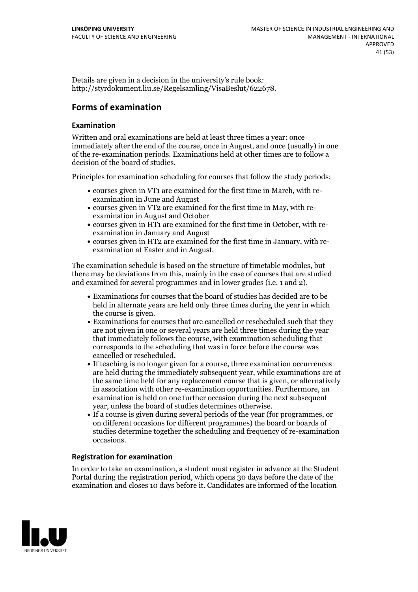Details are given in a decision in the university's rule book: http://styrdokument.liu.se/Regelsamling/VisaBeslut/622678.

## **Forms of examination**

## **Examination**

Written and oral examinations are held at least three times a year: once immediately after the end of the course, once in August, and once (usually) in one of the re-examination periods. Examinations held at other times are to follow a decision of the board of studies.

Principles for examination scheduling for courses that follow the study periods:

- courses given in VT1 are examined for the first time in March, with re-examination in June and August
- courses given in VT2 are examined for the first time in May, with re-examination in August and October
- courses given in HT1 are examined for the first time in October, with re-examination in January and August
- courses given in HT2 are examined for the first time in January, with re-examination at Easter and in August.

The examination schedule is based on the structure of timetable modules, but there may be deviations from this, mainly in the case of courses that are studied and examined for several programmes and in lower grades (i.e. 1 and 2).

- Examinations for courses that the board of studies has decided are to be held in alternate years are held only three times during the year in which the course is given.<br>• Examinations for courses that are cancelled or rescheduled such that they
- are not given in one or several years are held three times during the year that immediately follows the course, with examination scheduling that corresponds to the scheduling that was in force before the course was cancelled or rescheduled.<br>• If teaching is no longer given for a course, three examination occurrences
- are held during the immediately subsequent year, while examinations are at the same time held for any replacement course that is given, or alternatively in association with other re-examination opportunities. Furthermore, an examination is held on one further occasion during the next subsequent year, unless the board of studies determines otherwise.<br>If a course is given during several periods of the year (for programmes, or
- on different occasions for different programmes) the board or boards of studies determine together the scheduling and frequency of re-examination occasions.

## **Registration for examination**

In order to take an examination, a student must register in advance at the Student Portal during the registration period, which opens 30 days before the date of the examination and closes 10 days before it. Candidates are informed of the location

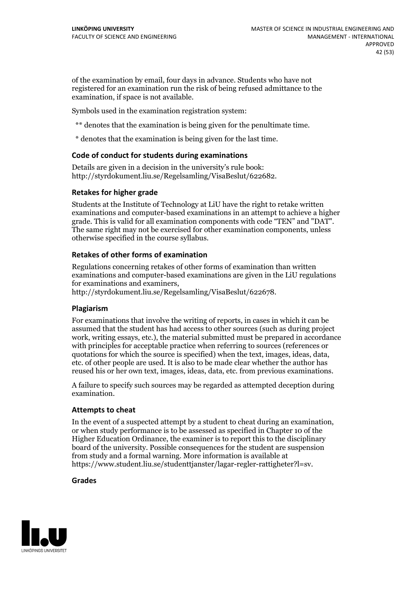of the examination by email, four days in advance. Students who have not registered for an examination run the risk of being refused admittance to the examination, if space is not available.

Symbols used in the examination registration system:

- \*\* denotes that the examination is being given for the penultimate time.
- \* denotes that the examination is being given for the last time.

#### **Code of conduct for students during examinations**

Details are given in a decision in the university's rule book: http://styrdokument.liu.se/Regelsamling/VisaBeslut/622682.

#### **Retakes for higher grade**

Students at the Institute of Technology at LiU have the right to retake written examinations and computer-based examinations in an attempt to achieve a higher grade. This is valid for all examination components with code "TEN" and "DAT". The same right may not be exercised for other examination components, unless otherwise specified in the course syllabus.

#### **Retakes of other forms of examination**

Regulations concerning retakes of other forms of examination than written examinations and computer-based examinations are given in the LiU regulations for examinations and examiners, http://styrdokument.liu.se/Regelsamling/VisaBeslut/622678.

#### **Plagiarism**

For examinations that involve the writing of reports, in cases in which it can be assumed that the student has had access to other sources (such as during project work, writing essays, etc.), the material submitted must be prepared in accordance with principles for acceptable practice when referring to sources (references or quotations for which the source is specified) when the text, images, ideas, data, etc. of other people are used. It is also to be made clear whether the author has reused his or her own text, images, ideas, data, etc. from previous examinations.

A failure to specify such sources may be regarded as attempted deception during examination.

#### **Attempts to cheat**

In the event of <sup>a</sup> suspected attempt by <sup>a</sup> student to cheat during an examination, or when study performance is to be assessed as specified in Chapter <sup>10</sup> of the Higher Education Ordinance, the examiner is to report this to the disciplinary board of the university. Possible consequences for the student are suspension from study and a formal warning. More information is available at https://www.student.liu.se/studenttjanster/lagar-regler-rattigheter?l=sv.

#### **Grades**

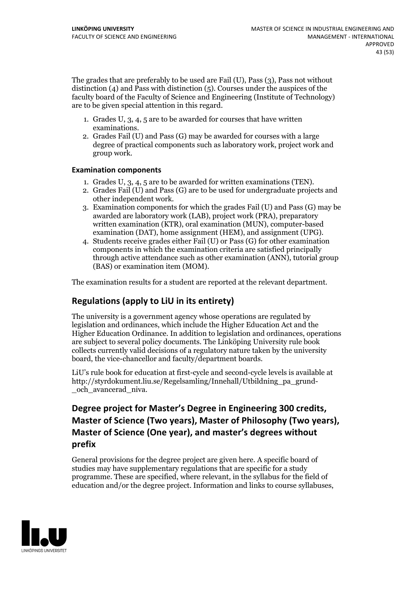The grades that are preferably to be used are Fail (U), Pass (3), Pass not without distinction  $(4)$  and Pass with distinction  $(5)$ . Courses under the auspices of the faculty board of the Faculty of Science and Engineering (Institute of Technology) are to be given special attention in this regard.

- 1. Grades U, 3, 4, 5 are to be awarded for courses that have written
- examinations. 2. Grades Fail (U) and Pass (G) may be awarded for courses with <sup>a</sup> large degree of practical components such as laboratory work, project work and group work.

## **Examination components**

- 
- 1. Grades U, 3, 4, <sup>5</sup> are to be awarded for written examinations (TEN). 2. Grades Fail (U) and Pass (G) are to be used for undergraduate projects and other independent work. 3. Examination components for which the grades Fail (U) and Pass (G) may be
- awarded are laboratory work (LAB), project work (PRA), preparatory written examination (KTR), oral examination (MUN), computer-based
- examination (DAT), home assignment (HEM), and assignment (UPG). 4. Students receive grades either Fail (U) or Pass (G) for other examination components in which the examination criteria are satisfied principally through active attendance such as other examination (ANN), tutorial group (BAS) or examination item (MOM).

The examination results for a student are reported at the relevant department.

## **Regulations (applyto LiU in its entirety)**

The university is a government agency whose operations are regulated by legislation and ordinances, which include the Higher Education Act and the Higher Education Ordinance. In addition to legislation and ordinances, operations are subject to several policy documents. The Linköping University rule book collects currently valid decisions of a regulatory nature taken by the university board, the vice-chancellor and faculty/department boards.

LiU's rule book for education at first-cycle and second-cycle levels is available at http://styrdokument.liu.se/Regelsamling/Innehall/Utbildning\_pa\_grund- \_och\_avancerad\_niva.

## Degree project for Master's Degree in Engineering 300 credits,<br>Master of Science (Two vears). Master of Philosophy (Two vears). **Master** of Science (One year), and master's degrees without **prefix**

General provisions for the degree project are given here. A specific board of studies may have supplementary regulations that are specific for a study programme. These are specified, where relevant, in the syllabus for the field of education and/or the degree project. Information and links to course syllabuses,

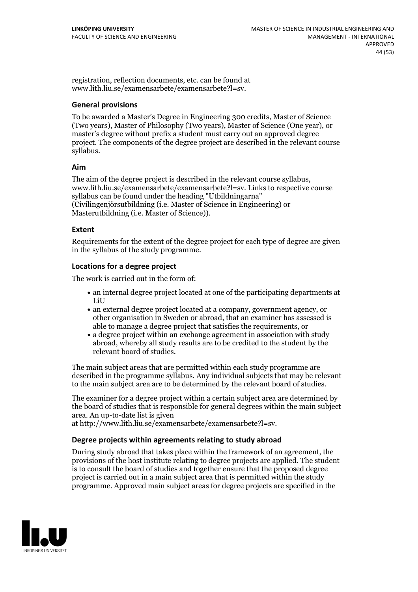registration, reflection documents, etc. can be found at www.lith.liu.se/examensarbete/examensarbete?l=sv.

## **General provisions**

To be awarded a Master's Degree in Engineering 300 credits, Master of Science (Two years), Master of Philosophy (Two years), Master of Science (One year), or master's degree without prefix a student must carry out an approved degree project. The components of the degree project are described in the relevant course syllabus.

## **Aim**

The aim of the degree project is described in the relevant course syllabus, www.lith.liu.se/examensarbete/examensarbete?l=sv. Links to respective course syllabus can be found under the heading "Utbildningarna" (Civilingenjörsutbildning (i.e. Master of Science in Engineering) or Masterutbildning (i.e. Master of Science)).

## **Extent**

Requirements for the extent of the degree project for each type of degree are given in the syllabus of the study programme.

## **Locations for a degree project**

The work is carried out in the form of:

- an internal degree project located at one of the participating departments at LiU
- an external degree project located at a company, government agency, or other organisation in Sweden or abroad, that an examiner has assessed is able to manage a degree project that satisfies the requirements, or
- a degree project within an exchange agreement in association with study abroad, whereby all study results are to be credited to the student by the relevant board of studies.

The main subject areas that are permitted within each study programme are described in the programme syllabus. Any individual subjects that may be relevant to the main subject area are to be determined by the relevant board of studies.

The examiner for a degree project within a certain subject area are determined by the board of studies that is responsible for general degrees within the main subject area. An up-to-date list is given

at http://www.lith.liu.se/examensarbete/examensarbete?l=sv.

#### **Degree projects within agreements relatingto study abroad**

During study abroad that takes place within the framework of an agreement, the provisions of the host institute relating to degree projects are applied. The student is to consult the board of studies and together ensure that the proposed degree project is carried outin a main subject area that is permitted within the study programme. Approved main subject areas for degree projects are specified in the

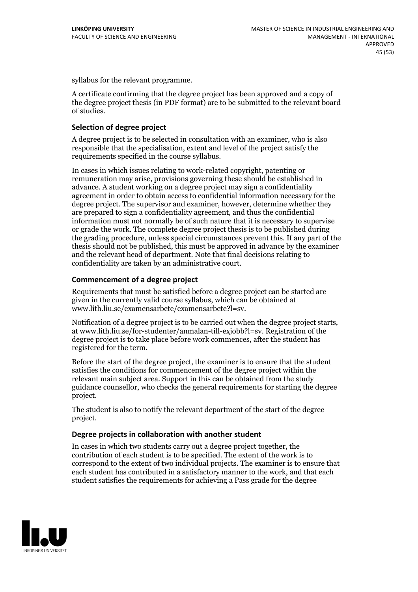syllabus for the relevant programme.

A certificate confirming that the degree project has been approved and a copy of the degree project thesis (in PDF format) are to be submitted to the relevant board of studies.

## **Selection of degree project**

A degree project is to be selected in consultation with an examiner, who is also responsible that the specialisation, extent and level of the project satisfy the requirements specified in the course syllabus.

In cases in which issues relating to work-related copyright, patenting or remuneration may arise, provisions governing these should be established in advance. A student working on a degree project may sign a confidentiality agreement in order to obtain access to confidential information necessary for the degree project. The supervisor and examiner, however, determine whether they are prepared to sign a confidentiality agreement, and thus the confidential information must not normally be of such nature that it is necessary to supervise or grade the work. The complete degree project thesis is to be published during the grading procedure, unless special circumstances prevent this. If any part of the thesis should not be published, this must be approved in advance by the examiner and the relevant head of department. Note that final decisions relating to confidentiality are taken by an administrative court.

## **Commencement of a degree project**

Requirements that must be satisfied before a degree project can be started are given in the currently valid course syllabus, which can be obtained at www.lith.liu.se/examensarbete/examensarbete?l=sv.

Notification of <sup>a</sup> degree project is to be carried outwhen the degree project starts, at www.lith.liu.se/for-studenter/anmalan-till-exjobb?l=sv. Registration of the degree project is to take place before work commences, after the student has registered for the term.

Before the start of the degree project, the examiner is to ensure that the student satisfies the conditions for commencement of the degree project within the relevant main subject area. Support in this can be obtained from the study guidance counsellor, who checks the general requirements for starting the degree project.

The student is also to notify the relevant department of the start of the degree project.

#### **Degree projects in collaboration with another student**

In cases in which two students carry out a degree project together, the contribution of each student is to be specified. The extent of the work is to correspond to the extent of two individual projects. The examiner is to ensure that each student has contributed in a satisfactory manner to the work, and that each student satisfies the requirements for achieving a Pass grade for the degree

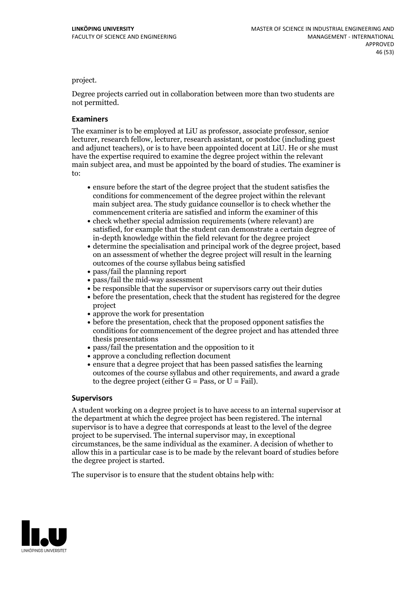#### project.

Degree projects carried out in collaboration between more than two students are not permitted.

#### **Examiners**

The examiner is to be employed at LiU as professor, associate professor, senior lecturer, research fellow, lecturer, research assistant, or postdoc (including guest and adjunct teachers), or is to have been appointed docent at LiU. He or she must have the expertise required to examine the degree project within the relevant main subject area, and must be appointed by the board of studies. The examiner is to:

- ensure before the start of the degree project that the student satisfies the conditions for commencement of the degree project within the relevant main subject area. The study guidance counsellor is to check whether the commencement criteria are satisfied and inform the examiner of this
- check whether special admission requirements (where relevant) are satisfied, for example that the student can demonstrate a certain degree of in-depth knowledge within the field relevant for the degree project
- determine the specialisation and principal work of the degree project, based on an assessment of whether the degree project will result in the learning outcomes of the course syllabus being satisfied
- pass/fail the planning report
- pass/fail the mid-way assessment
- be responsible that the supervisor or supervisors carry out their duties
- before the presentation, check that the student has registered for the degree project
- $\bullet$  approve the work for presentation
- before the presentation, check that the proposed opponent satisfies the conditions for commencement of the degree project and has attended three thesis presentations
- pass/fail the presentation and the opposition to it
- approve a concluding reflection document
- ensure that a degree project that has been passed satisfies the learning outcomes of the course syllabus and other requirements, and award a grade to the degree project (either  $G = Pass$ , or  $U = Fail$ ).

#### **Supervisors**

A student working on a degree project is to have access to an internal supervisor at the department at which the degree project has been registered. The internal supervisor is to have a degree that corresponds at least to the level of the degree project to be supervised. The internal supervisor may, in exceptional circumstances, be the same individual as the examiner. A decision of whether to allow this in a particular case is to be made by the relevant board of studies before the degree project is started.

The supervisor is to ensure that the student obtains help with:

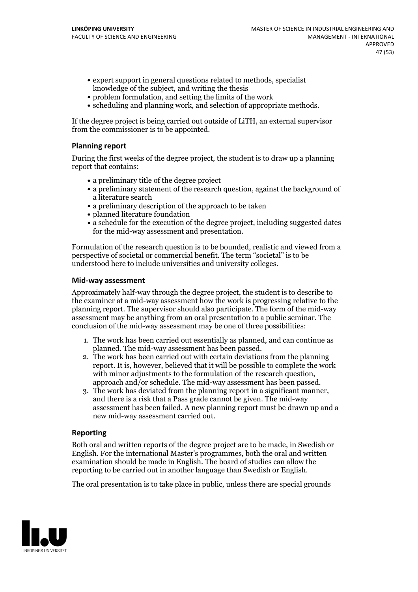- expert support in general questions related to methods, specialist knowledge of the subject, and writing the thesis
- problem formulation, and setting the limits of the work
- scheduling and planning work, and selection of appropriate methods.

If the degree project is being carried out outside of LiTH, an external supervisor from the commissioner is to be appointed.

## **Planning report**

During the first weeks of the degree project, the student is to draw up a planning report that contains:

- $\bullet$  a preliminary title of the degree project
- a preliminary statement of the research question, against the background of a literature search
- a preliminary description of the approach to be taken
- planned literature foundation
- a schedule for the execution of the degree project, including suggested dates for the mid-way assessment and presentation.

Formulation of the research question is to be bounded, realistic and viewed from a perspective of societal or commercial benefit. The term "societal" is to be understood here to include universities and university colleges.

#### **Mid-way assessment**

Approximately half-way through the degree project, the student is to describe to the examiner at a mid-way assessment how the work is progressing relative to the planning report. The supervisor should also participate. The form of the mid-way assessment may be anything from an oral presentation to a public seminar. The conclusion of the mid-way assessment may be one of three possibilities:

- 1. The work has been carried out essentially as planned, and can continue as planned. The mid-way assessment has been passed. 2. The work has been carried outwith certain deviations from the planning
- report. It is, however, believed that it will be possible to complete the work
- approach and/or schedule. The mid-way assessment has been passed.<br>3. The work has deviated from the planning report in a significant manner, and there is a risk that a Pass grade cannot be given. The mid-way assessment has been failed. A new planning report must be drawn up and a new mid-way assessment carried out.

#### **Reporting**

Both oral and written reports of the degree project are to be made, in Swedish or English. For the international Master's programmes, both the oral and written examination should be made in English. The board of studies can allow the reporting to be carried out in another language than Swedish or English.

The oral presentation is to take place in public, unless there are special grounds

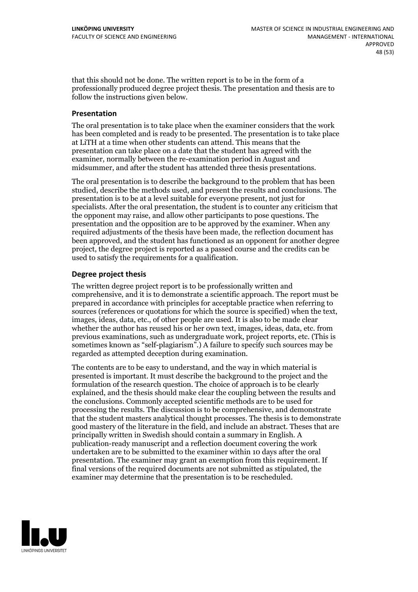that this should not be done. The written report is to be in the form of a professionally produced degree project thesis. The presentation and thesis are to follow the instructions given below.

#### **Presentation**

The oral presentation is to take place when the examiner considers that the work has been completed and is ready to be presented. The presentation is to take place at LiTH at a time when other students can attend. This means that the presentation can take place on a date that the student has agreed with the examiner, normally between the re-examination period in August and midsummer, and after the student has attended three thesis presentations.

The oral presentation is to describe the background to the problem that has been studied, describe the methods used, and present the results and conclusions. The presentation is to be at a level suitable for everyone present, not just for specialists. After the oral presentation, the student is to counter any criticism that the opponent may raise, and allow other participants to pose questions. The presentation and the opposition are to be approved by the examiner. When any required adjustments of the thesis have been made, the reflection document has been approved, and the student has functioned as an opponent for another degree project, the degree project is reported as a passed course and the credits can be used to satisfy the requirements for a qualification.

## **Degree project thesis**

The written degree project report is to be professionally written and comprehensive, and it is to demonstrate a scientific approach. The report must be prepared in accordance with principles for acceptable practice when referring to sources (references or quotations for which the source is specified) when the text, images, ideas, data, etc., of other people are used. It is also to be made clear whether the author has reused his or her own text, images, ideas, data, etc. from previous examinations, such asundergraduate work, project reports, etc. (This is sometimes known as"self-plagiarism".) A failure to specify such sources may be regarded as attempted deception during examination.

The contents are to be easy to understand, and the way in which material is presented is important. It must describe the background to the project and the formulation of the research question. The choice of approach is to be clearly explained, and the thesis should make clear the coupling between the results and the conclusions. Commonly accepted scientific methods are to be used for processing the results. The discussion is to be comprehensive, and demonstrate that the student masters analytical thought processes. The thesis is to demonstrate good mastery of the literature in the field, and include an abstract. Theses that are principally written in Swedish should contain a summary in English. A publication-ready manuscript and a reflection document covering the work undertaken are to be submitted to the examiner within 10 days after the oral presentation. The examiner may grant an exemption from this requirement. If final versions of the required documents are not submitted as stipulated, the examiner may determine that the presentation is to be rescheduled.

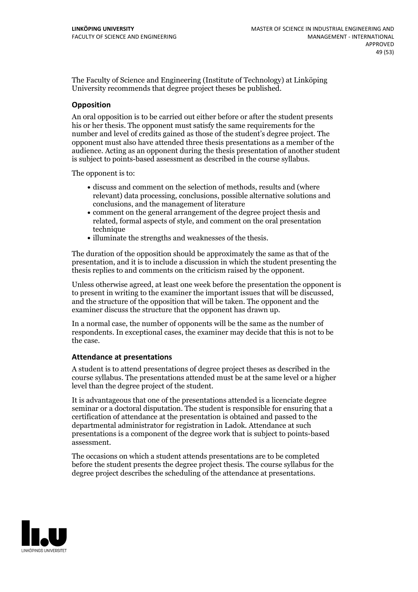The Faculty of Science and Engineering (Institute of Technology) at Linköping University recommends that degree project theses be published.

## **Opposition**

An oral opposition is to be carried out either before or after the student presents his or her thesis. The opponent must satisfy the same requirements for the number and level of credits gained as those ofthe student's degree project. The opponent must also have attended three thesis presentations as a member of the audience. Acting as an opponent during the thesis presentation of another student is subject to points-based assessment as described in the course syllabus.

The opponent is to:

- discuss and comment on the selection of methods, results and (where relevant) data processing, conclusions, possible alternative solutions and conclusions, and the management of literature
- comment on the general arrangement of the degree project thesis and related, formal aspects of style, and comment on the oral presentation technique
- illuminate the strengths and weaknesses of the thesis.

The duration of the opposition should be approximately the same as that of the presentation, and it is to include a discussion in which the student presenting the thesis replies to and comments on the criticism raised by the opponent.

Unless otherwise agreed, at least one week before the presentation the opponent is to present in writing to the examiner the important issues that will be discussed, and the structure ofthe opposition that will be taken. The opponent and the examiner discuss the structure that the opponent has drawn up.

In a normal case, the number of opponents will be the same as the number of respondents. In exceptional cases, the examiner may decide that this is not to be the case.

#### **Attendance at presentations**

A student is to attend presentations of degree project theses as described in the course syllabus. The presentations attended must be at the same level or a higher level than the degree project of the student.

It is advantageous that one of the presentations attended is a licenciate degree seminar or a doctoral disputation. The student is responsible for ensuring that a certification of attendance at the presentation is obtained and passed to the departmental administrator for registration in Ladok. Attendance at such presentations is a component of the degree work that is subject to points-based assessment.

The occasions on which a student attends presentations are to be completed before the student presents the degree project thesis. The course syllabus for the degree project describes the scheduling of the attendance at presentations.

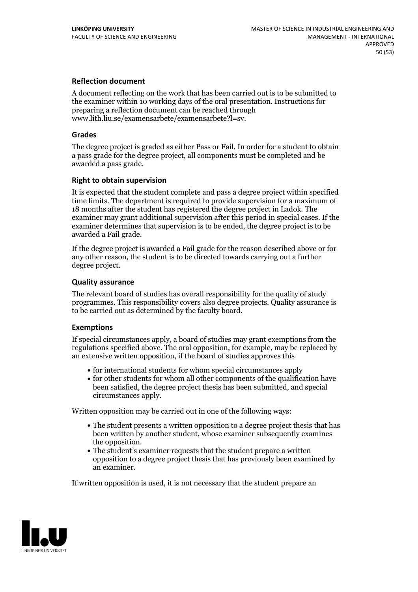## **Reflection document**

A document reflecting on the work that has been carried outis to be submitted to the examiner within 10 working days of the oral presentation. Instructions for preparing a reflection document can be reached through www.lith.liu.se/examensarbete/examensarbete?l=sv.

## **Grades**

The degree project is graded as either Pass or Fail. In order for a student to obtain a pass grade for the degree project, all components must be completed and be awarded a pass grade.

## **Right to obtain supervision**

It is expected that the student complete and pass a degree project within specified time limits. The department is required to provide supervision for a maximum of 18 months after the student has registered the degree project in Ladok. The examiner may grant additional supervision after this period in special cases. If the examiner determines that supervision is to be ended, the degree project is to be awarded a Fail grade.

If the degree project is awarded a Fail grade for the reason described above or for any other reason, the student is to be directed towards carrying out a further degree project.

## **Quality assurance**

The relevant board of studies has overall responsibility for the quality of study programmes. This responsibility covers also degree projects. Quality assurance is to be carried out as determined by the faculty board.

#### **Exemptions**

If special circumstances apply, a board of studies may grant exemptions from the regulations specified above. The oral opposition, for example, may be replaced by an extensive written opposition, if the board of studies approves this

- for international students for whom special circumstances apply
- for other students for whom all other components of the qualification have been satisfied, the degree project thesis has been submitted, and special circumstances apply.

Written opposition may be carried out in one of the following ways:

- The student presents a written opposition to a degree project thesis that has been written by another student, whose examiner subsequently examines the opposition.<br>• The student's examiner requests that the student prepare a written
- opposition to a degree project thesis that has previously been examined by an examiner.

If written opposition is used, it is not necessary that the student prepare an

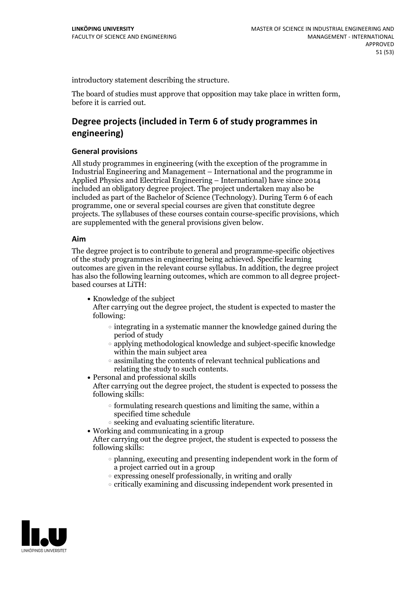introductory statement describing the structure.

The board of studies must approve that opposition may take place in written form, before it is carried out.

## **Degree projects (included in Term 6 of study programmes in engineering)**

## **General provisions**

All study programmes in engineering (with the exception of the programme in Industrial Engineering and Management – International and the programme in Applied Physics and Electrical Engineering – International) have since 2014 included an obligatory degree project. The project undertaken may also be included as part of the Bachelor of Science (Technology). During Term 6 of each programme, one or several special courses are given that constitute degree projects. The syllabuses of these courses contain course-specific provisions, which are supplemented with the general provisions given below.

#### **Aim**

The degree project is to contribute to general and programme-specific objectives of the study programmes in engineering being achieved. Specific learning outcomes are given in the relevant course syllabus. In addition, the degree project has also the following learning outcomes, which are common to all degree project-<br>based courses at LiTH:

• Knowledge of the subject

After carrying out the degree project, the student is expected to master the following:

- $\circ$  integrating in a systematic manner the knowledge gained during the period of study
- applying methodological knowledge and subject-specific knowledge within the main subject area
- $\circ$  assimilating the contents of relevant technical publications and relating the study to such contents.<br>• Personal and professional skills
- 

After carrying out the degree project, the student is expected to possess the following skills:

- $\circ$  formulating research questions and limiting the same, within a specified time schedule
- $\circ$  seeking and evaluating scientific literature. <br> Working and communicating in a group
- 

After carrying out the degree project, the student is expected to possess the following skills:

- $\circ$  planning, executing and presenting independent work in the form of a project carried out in a group
- $\circ$  expressing oneself professionally, in writing and orally
- critically examining and discussing independent work presented in

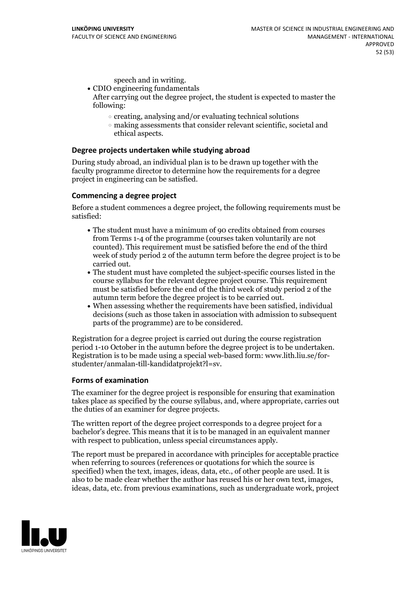- speech and in writing.<br>• CDIO engineering fundamentals After carrying out the degree project, the student is expected to master the
	- following:
		- $\circ$  creating, analysing and/or evaluating technical solutions
		- making assessments that consider relevant scientific, societal and ethical aspects.

## **Degree projects undertaken while studying abroad**

During study abroad, an individual plan is to be drawn up together with the faculty programme director to determine how the requirements for a degree project in engineering can be satisfied.

## **Commencing a degree project**

Before a student commences a degree project, the following requirements must be satisfied:

- The student must have a minimum of 90 credits obtained from courses from Terms 1-4 of the programme (courses taken voluntarily are not counted). This requirement must be satisfied before the end of the third week of study period 2 of the autumn term before the degree project is to be carried out.<br>• The student must have completed the subject-specific courses listed in the
- course syllabus for the relevant degree project course. This requirement must be satisfied before the end of the third week of study period 2 of the
- When assessing whether the requirements have been satisfied, individual decisions (such as those taken in association with admission to subsequent parts of the programme) are to be considered.

Registration for a degree project is carried out during the course registration period 1-10 October in the autumn before the degree project is to be undertaken. Registration is to be made using <sup>a</sup> special web-based form: www.lith.liu.se/for- studenter/anmalan-till-kandidatprojekt?l=sv.

#### **Forms of examination**

The examiner for the degree project is responsible for ensuring that examination takes place as specified by the course syllabus, and, where appropriate, carries out the duties of an examiner for degree projects.

The written report of the degree project corresponds to a degree project for a bachelor's degree. This means that it is to be managed in an equivalent manner with respect to publication, unless special circumstances apply.

The report must be prepared in accordance with principles for acceptable practice when referring to sources (references or quotations for which the source is specified) when the text, images, ideas, data, etc., of other people are used. It is also to be made clear whether the author has reused his or her own text, images, ideas, data, etc. from previous examinations, such as undergraduate work, project